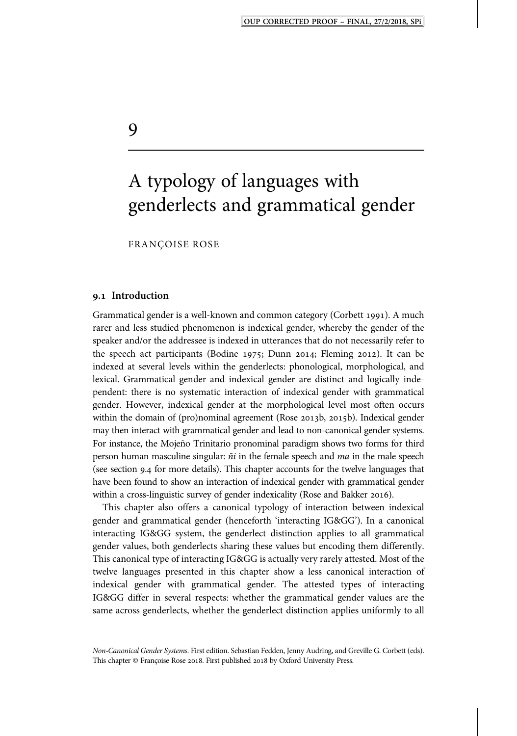# A typology of languages with genderlects and grammatical gender

FRANÇOISE ROSE

#### **. Introduction**

Grammatical gender is a well-known and common category (Corbett 1991). A much rarer and less studied phenomenon is indexical gender, whereby the gender of the speaker and/or the addressee is indexed in utterances that do not necessarily refer to the speech act participants (Bodine 1975; Dunn 2014; Fleming 2012). It can be indexed at several levels within the genderlects: phonological, morphological, and lexical. Grammatical gender and indexical gender are distinct and logically independent: there is no systematic interaction of indexical gender with grammatical gender. However, indexical gender at the morphological level most often occurs within the domain of (pro)nominal agreement (Rose 2013b, 2015b). Indexical gender may then interact with grammatical gender and lead to non-canonical gender systems. For instance, the Mojeño Trinitario pronominal paradigm shows two forms for third person human masculine singular:  $\tilde{n}i$  in the female speech and *ma* in the male speech (see section 9.4 for more details). This chapter accounts for the twelve languages that have been found to show an interaction of indexical gender with grammatical gender within a cross-linguistic survey of gender indexicality (Rose and Bakker 2016).

This chapter also offers a canonical typology of interaction between indexical gender and grammatical gender (henceforth 'interacting IG&GG'). In a canonical interacting IG&GG system, the genderlect distinction applies to all grammatical gender values, both genderlects sharing these values but encoding them differently. This canonical type of interacting IG&GG is actually very rarely attested. Most of the twelve languages presented in this chapter show a less canonical interaction of indexical gender with grammatical gender. The attested types of interacting IG&GG differ in several respects: whether the grammatical gender values are the same across genderlects, whether the genderlect distinction applies uniformly to all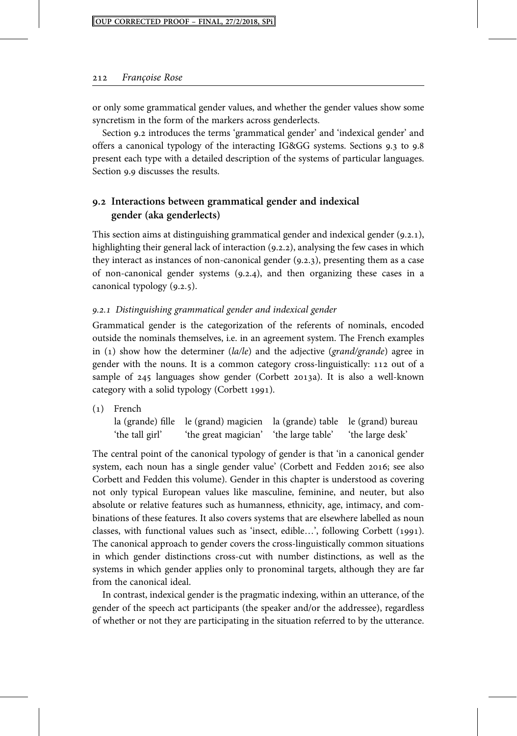or only some grammatical gender values, and whether the gender values show some syncretism in the form of the markers across genderlects.

Section 9.2 introduces the terms 'grammatical gender' and 'indexical gender' and offers a canonical typology of the interacting IG&GG systems. Sections 9.3 to 9.8 present each type with a detailed description of the systems of particular languages. Section 9.9 discusses the results.

## **. Interactions between grammatical gender and indexical gender (aka genderlects)**

This section aims at distinguishing grammatical gender and indexical gender  $(9.2.1)$ , highlighting their general lack of interaction  $(9.2.2)$ , analysing the few cases in which they interact as instances of non-canonical gender  $(9.2.3)$ , presenting them as a case of non-canonical gender systems  $(9.2.4)$ , and then organizing these cases in a canonical typology  $(9.2.5)$ .

#### 9.2.1 Distinguishing grammatical gender and indexical gender

Grammatical gender is the categorization of the referents of nominals, encoded outside the nominals themselves, i.e. in an agreement system. The French examples in (1) show how the determiner ( $la/|e|$ ) and the adjective (*grand/grande*) agree in gender with the nouns. It is a common category cross-linguistically: 112 out of a sample of 245 languages show gender (Corbett 2013a). It is also a well-known category with a solid typology (Corbett 1991).

() French la (grande) fille le (grand) magicien la (grande) table le (grand) bureau 'the tall girl' 'the great magician' 'the large table' 'the large desk'

The central point of the canonical typology of gender is that 'in a canonical gender system, each noun has a single gender value' (Corbett and Fedden 2016; see also Corbett and Fedden this volume). Gender in this chapter is understood as covering not only typical European values like masculine, feminine, and neuter, but also absolute or relative features such as humanness, ethnicity, age, intimacy, and combinations of these features. It also covers systems that are elsewhere labelled as noun classes, with functional values such as 'insect, edible...', following Corbett (1991). The canonical approach to gender covers the cross-linguistically common situations in which gender distinctions cross-cut with number distinctions, as well as the systems in which gender applies only to pronominal targets, although they are far from the canonical ideal.

In contrast, indexical gender is the pragmatic indexing, within an utterance, of the gender of the speech act participants (the speaker and/or the addressee), regardless of whether or not they are participating in the situation referred to by the utterance.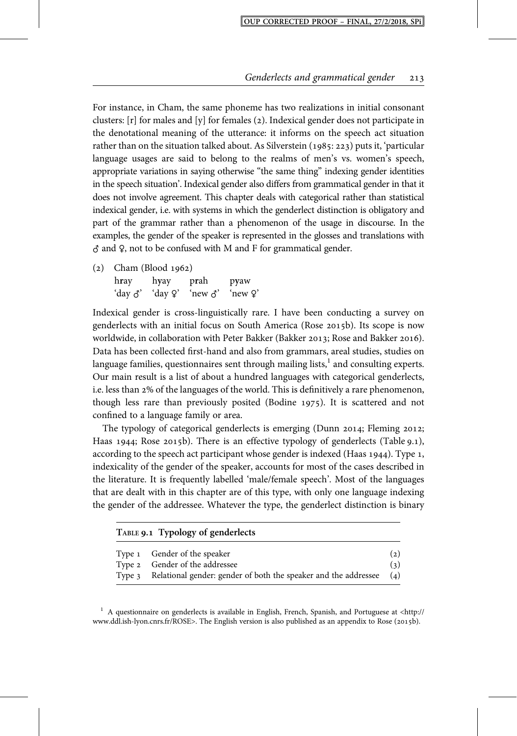For instance, in Cham, the same phoneme has two realizations in initial consonant clusters:  $[r]$  for males and  $[y]$  for females (2). Indexical gender does not participate in the denotational meaning of the utterance: it informs on the speech act situation rather than on the situation talked about. As Silverstein  $(1985: 223)$  puts it, 'particular language usages are said to belong to the realms of men's vs. women's speech, appropriate variations in saying otherwise "the same thing" indexing gender identities in the speech situation'. Indexical gender also differs from grammatical gender in that it does not involve agreement. This chapter deals with categorical rather than statistical indexical gender, i.e. with systems in which the genderlect distinction is obligatory and part of the grammar rather than a phenomenon of the usage in discourse. In the examples, the gender of the speaker is represented in the glosses and translations with  $\delta$  and  $\delta$ , not to be confused with M and F for grammatical gender.

 $(2)$  Cham (Blood 1962)

h**r**ay h**y**ay p**r**ah p**y**aw 'day ♂' 'day ♀' 'new ♂' 'new ♀'

Indexical gender is cross-linguistically rare. I have been conducting a survey on genderlects with an initial focus on South America (Rose 2015b). Its scope is now worldwide, in collaboration with Peter Bakker (Bakker 2013; Rose and Bakker 2016). Data has been collected first-hand and also from grammars, areal studies, studies on language families, questionnaires sent through mailing lists, $<sup>1</sup>$  and consulting experts.</sup> Our main result is a list of about a hundred languages with categorical genderlects, i.e. less than 2% of the languages of the world. This is definitively a rare phenomenon, though less rare than previously posited (Bodine  $1975$ ). It is scattered and not confined to a language family or area.

The typology of categorical genderlects is emerging (Dunn 2014; Fleming 2012; Haas 1944; Rose 2015b). There is an effective typology of genderlects (Table 9.1), according to the speech act participant whose gender is indexed (Haas  $1944$ ). Type 1, indexicality of the gender of the speaker, accounts for most of the cases described in the literature. It is frequently labelled 'male/female speech'. Most of the languages that are dealt with in this chapter are of this type, with only one language indexing the gender of the addressee. Whatever the type, the genderlect distinction is binary

| TABLE 9.1 Typology of genderlects |                                                                                                                                          |                        |  |  |  |
|-----------------------------------|------------------------------------------------------------------------------------------------------------------------------------------|------------------------|--|--|--|
|                                   | Type 1 Gender of the speaker<br>Type 2 Gender of the addressee<br>Type 3 Relational gender: gender of both the speaker and the addressee | (2)<br>(3)<br>$\Delta$ |  |  |  |

 $1$  A questionnaire on genderlects is available in English, French, Spanish, and Portuguese at <http:// www.ddl.ish-lyon.cnrs.fr/ROSE>. The English version is also published as an appendix to Rose (2015b).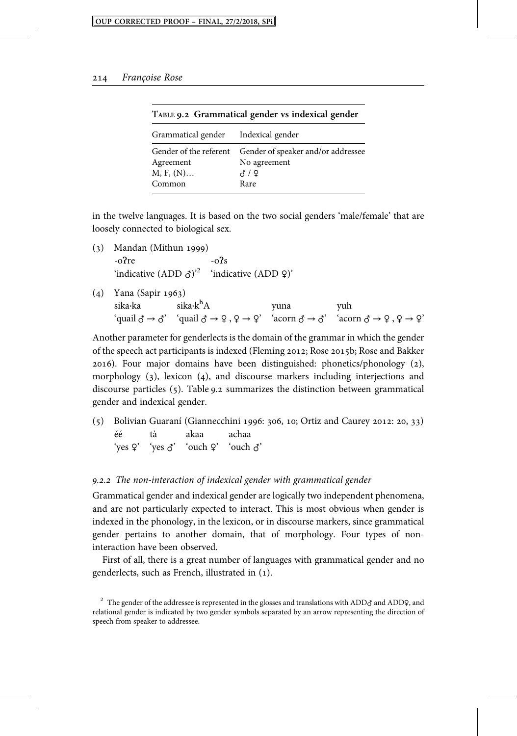| Grammatical gender Indexical gender                |                                                             |  |
|----------------------------------------------------|-------------------------------------------------------------|--|
| Gender of the referent<br>Agreement<br>$M, F, (N)$ | Gender of speaker and/or addressee<br>No agreement<br>ਨ / ♀ |  |
| Common                                             | Rare                                                        |  |

|  | TABLE 9.2 Grammatical gender vs indexical gender |  |  |  |
|--|--------------------------------------------------|--|--|--|
|--|--------------------------------------------------|--|--|--|

in the twelve languages. It is based on the two social genders 'male/female' that are loosely connected to biological sex.

- $(3)$  Mandan (Mithun 1999)  $-o$ ?re  $-o$ ?s 'indicative  $(ADD \space \diamondsuit)^2$  'indicative  $(ADD \space \diamondsuit)^2$
- (4) Yana (Sapir 1963)<br>sika·ka sika·k<sup>h</sup>A sika·ka sika·k<sup>h</sup>A yuna yuh  $\text{``qual } \mathcal{J} \to \mathcal{J} \text{''} \text{``qual } \mathcal{J} \to \mathcal{Q}, \mathcal{Q} \to \mathcal{Q} \text{''} \text{''} \text{acorn } \mathcal{J} \to \mathcal{J} \text{''} \text{''} \text{acorn } \mathcal{J} \to \mathcal{Q}, \mathcal{Q} \to \mathcal{Q} \text{''} \text{''} \text{''} \text{acorn } \mathcal{J} \to \mathcal{Q}, \mathcal{Q} \to \mathcal{Q} \text{''} \text{''} \text{''} \text{''} \text{''} \text{''} \text{''} \text{$

Another parameter for genderlects is the domain of the grammar in which the gender of the speech act participants is indexed (Fleming 2012; Rose 2015b; Rose and Bakker 2016). Four major domains have been distinguished: phonetics/phonology (2), morphology  $(3)$ , lexicon  $(4)$ , and discourse markers including interjections and discourse particles  $(5)$ . Table 9.2 summarizes the distinction between grammatical gender and indexical gender.

 $(5)$  Bolivian Guaraní (Giannecchini 1996: 306, 10; Ortiz and Caurey 2012: 20, 33) éé tà akaa achaa 'yes ♀' 'yes ♂' 'ouch ♀' 'ouch ♂'

#### 9.2.2 The non-interaction of indexical gender with grammatical gender

Grammatical gender and indexical gender are logically two independent phenomena, and are not particularly expected to interact. This is most obvious when gender is indexed in the phonology, in the lexicon, or in discourse markers, since grammatical gender pertains to another domain, that of morphology. Four types of noninteraction have been observed.

First of all, there is a great number of languages with grammatical gender and no genderlects, such as French, illustrated in ().

<sup>&</sup>lt;sup>2</sup> The gender of the addressee is represented in the glosses and translations with ADD $\sigma$  and ADDQ, and relational gender is indicated by two gender symbols separated by an arrow representing the direction of speech from speaker to addressee.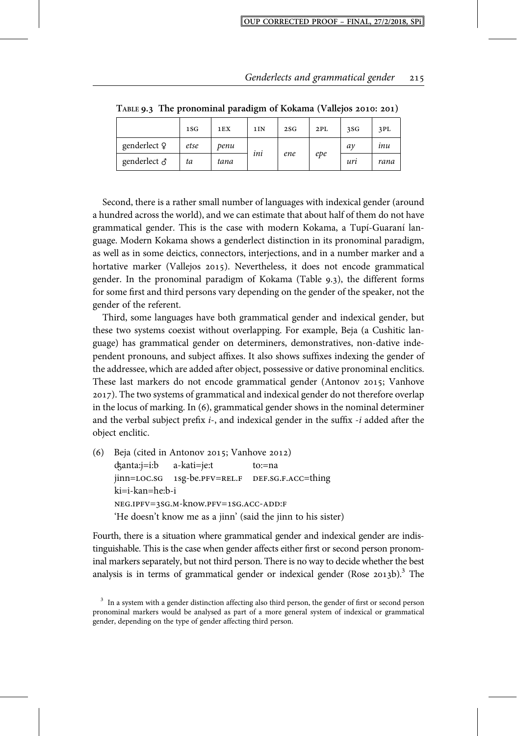|              | 1SG  | 1EX  | 1I <sub>N</sub> | 2SG | 2PL | 3SG | 3PL  |
|--------------|------|------|-----------------|-----|-----|-----|------|
| genderlect Q | etse | penu | . .             |     |     | aν  | inu  |
| genderlect & | ta   | tana | ini             | ene | epe | uri | rana |

**TABLE . The pronominal paradigm of Kokama (Vallejos : )**

Second, there is a rather small number of languages with indexical gender (around a hundred across the world), and we can estimate that about half of them do not have grammatical gender. This is the case with modern Kokama, a Tupí-Guaraní language. Modern Kokama shows a genderlect distinction in its pronominal paradigm, as well as in some deictics, connectors, interjections, and in a number marker and a hortative marker (Vallejos 2015). Nevertheless, it does not encode grammatical gender. In the pronominal paradigm of Kokama (Table  $9.3$ ), the different forms for some first and third persons vary depending on the gender of the speaker, not the gender of the referent.

Third, some languages have both grammatical gender and indexical gender, but these two systems coexist without overlapping. For example, Beja (a Cushitic language) has grammatical gender on determiners, demonstratives, non-dative independent pronouns, and subject affixes. It also shows suffixes indexing the gender of the addressee, which are added after object, possessive or dative pronominal enclitics. These last markers do not encode grammatical gender (Antonov 2015; Vanhove ). The two systems of grammatical and indexical gender do not therefore overlap in the locus of marking. In  $(6)$ , grammatical gender shows in the nominal determiner and the verbal subject prefix  $i$ -, and indexical gender in the suffix  $-i$  added after the object enclitic.

(6) Beja (cited in Antonov 2015; Vanhove 2012) ʤanta:j=i:b a-kati=je:t to:=na jinn=LOC.SG 1sg-be.PFV=REL.F DEF.SG.F.ACC=thing ki=i-kan=he:b-i  $NEG.IPFV=3SG.M-know.PFV=1SG.ACC-ADD:F$ 'He doesn't know me as a jinn' (said the jinn to his sister)

Fourth, there is a situation where grammatical gender and indexical gender are indistinguishable. This is the case when gender affects either first or second person pronominal markers separately, but not third person. There is no way to decide whether the best analysis is in terms of grammatical gender or indexical gender (Rose  $2013b$ ).<sup>3</sup> The

 $3$  In a system with a gender distinction affecting also third person, the gender of first or second person pronominal markers would be analysed as part of a more general system of indexical or grammatical gender, depending on the type of gender affecting third person.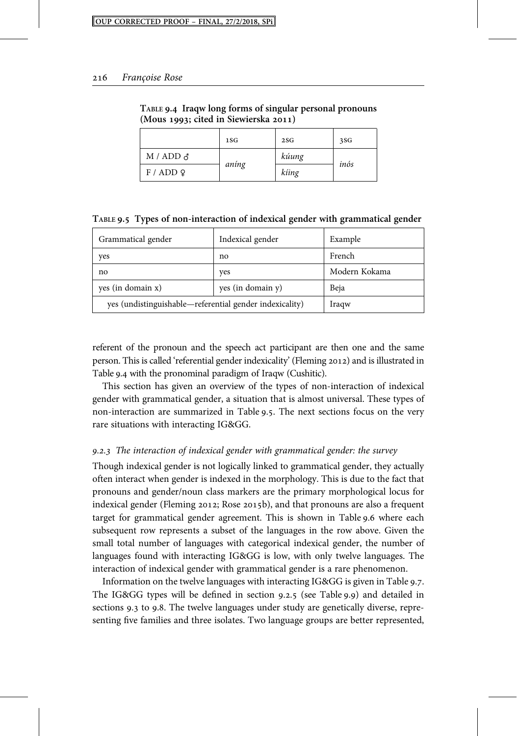|                  | 1SG   | 2SG   | 3SG  |
|------------------|-------|-------|------|
| M / ADD $\delta$ |       | kúung | inós |
| F / ADD          | aníng | kíing |      |

**TABLE . Iraqw long forms of singular personal pronouns (Mous ; cited in Siewierska )**

**TABLE . Types of non-interaction of indexical gender with grammatical gender**

| Grammatical gender                                      | Indexical gender  | Example       |
|---------------------------------------------------------|-------------------|---------------|
| yes                                                     | no                | French        |
| no                                                      | ves               | Modern Kokama |
| yes (in domain x)                                       | yes (in domain y) | Beja          |
| yes (undistinguishable—referential gender indexicality) | Iraqw             |               |

referent of the pronoun and the speech act participant are then one and the same person. This is called 'referential gender indexicality' (Fleming 2012) and is illustrated in Table 9.4 with the pronominal paradigm of Iraqw (Cushitic).

This section has given an overview of the types of non-interaction of indexical gender with grammatical gender, a situation that is almost universal. These types of non-interaction are summarized in Table 9.5. The next sections focus on the very rare situations with interacting IG&GG.

#### 9.2.3 The interaction of indexical gender with grammatical gender: the survey

Though indexical gender is not logically linked to grammatical gender, they actually often interact when gender is indexed in the morphology. This is due to the fact that pronouns and gender/noun class markers are the primary morphological locus for indexical gender (Fleming 2012; Rose 2015b), and that pronouns are also a frequent target for grammatical gender agreement. This is shown in Table 9.6 where each subsequent row represents a subset of the languages in the row above. Given the small total number of languages with categorical indexical gender, the number of languages found with interacting IG&GG is low, with only twelve languages. The interaction of indexical gender with grammatical gender is a rare phenomenon.

Information on the twelve languages with interacting IG&GG is given in Table 9.7. The IG&GG types will be defined in section 9.2.5 (see Table 9.9) and detailed in sections 9.3 to 9.8. The twelve languages under study are genetically diverse, representing five families and three isolates. Two language groups are better represented,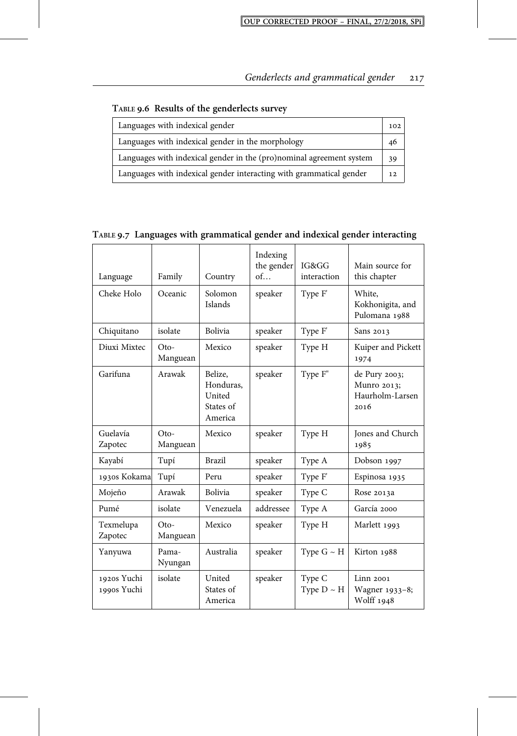| Languages with indexical gender                                      | 102 |
|----------------------------------------------------------------------|-----|
| Languages with indexical gender in the morphology                    | 46  |
| Languages with indexical gender in the (pro)nominal agreement system | 39  |
| Languages with indexical gender interacting with grammatical gender  | 12  |

**TABLE . Results of the genderlects survey**

## **TABLE . Languages with grammatical gender and indexical gender interacting**

| Language                   | Family             | Country                                                | Indexing<br>the gender<br>of | IG&GG<br>interaction      | Main source for<br>this chapter                         |
|----------------------------|--------------------|--------------------------------------------------------|------------------------------|---------------------------|---------------------------------------------------------|
| Cheke Holo                 | Oceanic            | Solomon<br>Islands                                     | speaker                      | Type F'                   | White,<br>Kokhonigita, and<br>Pulomana 1988             |
| Chiquitano                 | isolate            | Bolivia                                                | speaker                      | Type F'                   | Sans 2013                                               |
| Diuxi Mixtec               | $Oto-$<br>Manguean | Mexico                                                 | speaker                      | Type H                    | Kuiper and Pickett<br>1974                              |
| Garifuna                   | Arawak             | Belize,<br>Honduras,<br>United<br>States of<br>America | speaker                      | Type F"                   | de Pury 2003;<br>Munro 2013;<br>Haurholm-Larsen<br>2016 |
| Guelavía<br>Zapotec        | $Oto-$<br>Manguean | Mexico                                                 | speaker                      | Type H                    | Jones and Church<br>1985                                |
| Kayabí                     | Tupí               | <b>Brazil</b>                                          | speaker                      | Type A                    | Dobson 1997                                             |
| 1930s Kokama               | Tupí               | Peru                                                   | speaker                      | Type F'                   | Espinosa 1935                                           |
| Mojeño                     | Arawak             | Bolivia                                                | speaker                      | Type C                    | Rose 2013a                                              |
| Pumé                       | isolate            | Venezuela                                              | addressee                    | Type A                    | García 2000                                             |
| Texmelupa<br>Zapotec       | $Oto-$<br>Manguean | Mexico                                                 | speaker                      | Type H                    | Marlett 1993                                            |
| Yanyuwa                    | Pama-<br>Nyungan   | Australia                                              | speaker                      | Type $G \sim H$           | Kirton 1988                                             |
| 1920s Yuchi<br>1990s Yuchi | isolate            | United<br>States of<br>America                         | speaker                      | Type C<br>Type $D \sim H$ | Linn 2001<br>Wagner 1933-8;<br>Wolff 1948               |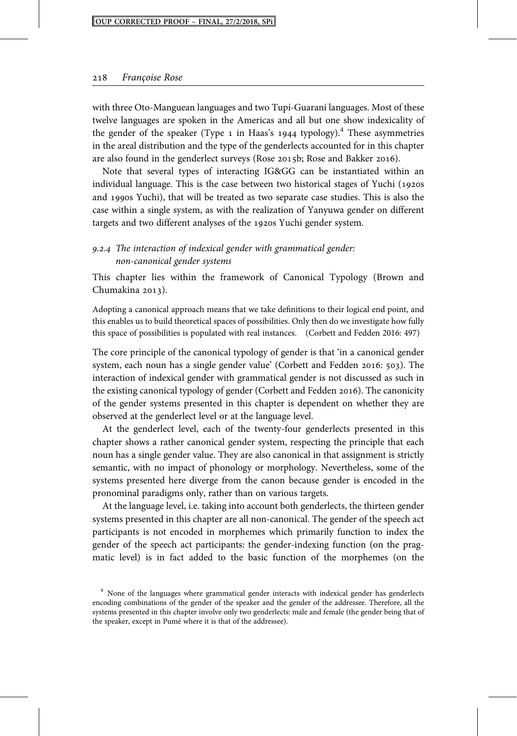with three Oto-Manguean languages and two Tupí-Guaraní languages. Most of these twelve languages are spoken in the Americas and all but one show indexicality of the gender of the speaker (Type  $_1$  in Haas's 1944 typology).<sup>4</sup> These asymmetries in the areal distribution and the type of the genderlects accounted for in this chapter are also found in the genderlect surveys (Rose 2015b; Rose and Bakker 2016).

Note that several types of interacting IG&GG can be instantiated within an individual language. This is the case between two historical stages of Yuchi  $(1920s)$ and 1990s Yuchi), that will be treated as two separate case studies. This is also the case within a single system, as with the realization of Yanyuwa gender on different targets and two different analyses of the 1920s Yuchi gender system.

## 9.2.4 The interaction of indexical gender with grammatical gender: non-canonical gender systems

This chapter lies within the framework of Canonical Typology (Brown and Chumakina  $2013$ ).

Adopting a canonical approach means that we take definitions to their logical end point, and this enables us to build theoretical spaces of possibilities. Only then do we investigate how fully this space of possibilities is populated with real instances. (Corbett and Fedden 2016: 497)

The core principle of the canonical typology of gender is that 'in a canonical gender system, each noun has a single gender value' (Corbett and Fedden 2016:  $503$ ). The interaction of indexical gender with grammatical gender is not discussed as such in the existing canonical typology of gender (Corbett and Fedden 2016). The canonicity of the gender systems presented in this chapter is dependent on whether they are observed at the genderlect level or at the language level.

At the genderlect level, each of the twenty-four genderlects presented in this chapter shows a rather canonical gender system, respecting the principle that each noun has a single gender value. They are also canonical in that assignment is strictly semantic, with no impact of phonology or morphology. Nevertheless, some of the systems presented here diverge from the canon because gender is encoded in the pronominal paradigms only, rather than on various targets.

At the language level, i.e. taking into account both genderlects, the thirteen gender systems presented in this chapter are all non-canonical. The gender of the speech act participants is not encoded in morphemes which primarily function to index the gender of the speech act participants: the gender-indexing function (on the pragmatic level) is in fact added to the basic function of the morphemes (on the

<sup>&</sup>lt;sup>4</sup> None of the languages where grammatical gender interacts with indexical gender has genderlects encoding combinations of the gender of the speaker and the gender of the addressee. Therefore, all the systems presented in this chapter involve only two genderlects: male and female (the gender being that of the speaker, except in Pumé where it is that of the addressee).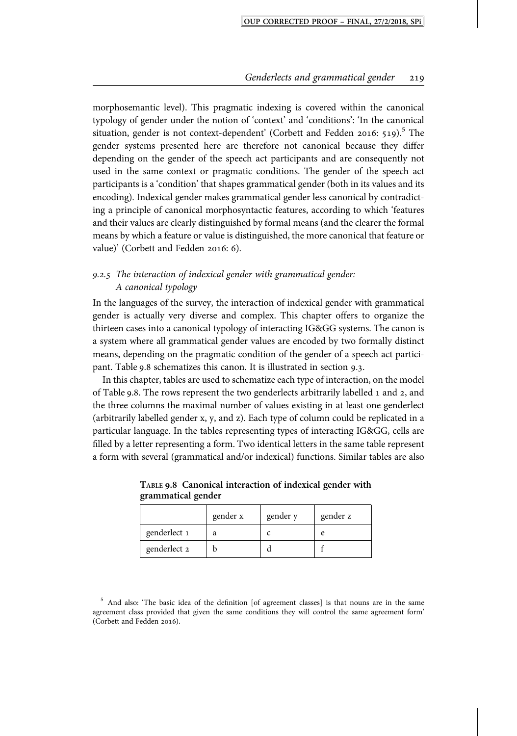morphosemantic level). This pragmatic indexing is covered within the canonical typology of gender under the notion of 'context' and 'conditions': 'In the canonical situation, gender is not context-dependent' (Corbett and Fedden 2016: 519).<sup>5</sup> The gender systems presented here are therefore not canonical because they differ depending on the gender of the speech act participants and are consequently not used in the same context or pragmatic conditions. The gender of the speech act participants is a 'condition' that shapes grammatical gender (both in its values and its encoding). Indexical gender makes grammatical gender less canonical by contradicting a principle of canonical morphosyntactic features, according to which 'features and their values are clearly distinguished by formal means (and the clearer the formal means by which a feature or value is distinguished, the more canonical that feature or value)' (Corbett and Fedden 2016: 6).

## 9.2.5 The interaction of indexical gender with grammatical gender: A canonical typology

In the languages of the survey, the interaction of indexical gender with grammatical gender is actually very diverse and complex. This chapter offers to organize the thirteen cases into a canonical typology of interacting IG&GG systems. The canon is a system where all grammatical gender values are encoded by two formally distinct means, depending on the pragmatic condition of the gender of a speech act participant. Table 9.8 schematizes this canon. It is illustrated in section 9.3.

In this chapter, tables are used to schematize each type of interaction, on the model of Table 9.8. The rows represent the two genderlects arbitrarily labelled 1 and 2, and the three columns the maximal number of values existing in at least one genderlect (arbitrarily labelled gender x, y, and z). Each type of column could be replicated in a particular language. In the tables representing types of interacting IG&GG, cells are filled by a letter representing a form. Two identical letters in the same table represent a form with several (grammatical and/or indexical) functions. Similar tables are also

|              | gender x | gender y | gender z |
|--------------|----------|----------|----------|
| genderlect 1 | a        |          |          |
| genderlect 2 |          |          |          |

**TABLE . Canonical interaction of indexical gender with grammatical gender**

<sup>&</sup>lt;sup>5</sup> And also: 'The basic idea of the definition [of agreement classes] is that nouns are in the same agreement class provided that given the same conditions they will control the same agreement form' (Corbett and Fedden 2016).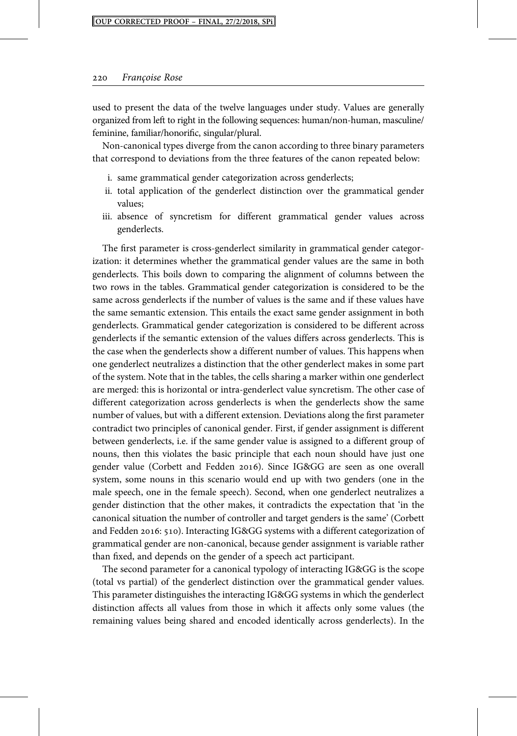used to present the data of the twelve languages under study. Values are generally organized from left to right in the following sequences: human/non-human, masculine/ feminine, familiar/honorific, singular/plural.

Non-canonical types diverge from the canon according to three binary parameters that correspond to deviations from the three features of the canon repeated below:

- i. same grammatical gender categorization across genderlects;
- ii. total application of the genderlect distinction over the grammatical gender values;
- iii. absence of syncretism for different grammatical gender values across genderlects.

The first parameter is cross-genderlect similarity in grammatical gender categorization: it determines whether the grammatical gender values are the same in both genderlects. This boils down to comparing the alignment of columns between the two rows in the tables. Grammatical gender categorization is considered to be the same across genderlects if the number of values is the same and if these values have the same semantic extension. This entails the exact same gender assignment in both genderlects. Grammatical gender categorization is considered to be different across genderlects if the semantic extension of the values differs across genderlects. This is the case when the genderlects show a different number of values. This happens when one genderlect neutralizes a distinction that the other genderlect makes in some part of the system. Note that in the tables, the cells sharing a marker within one genderlect are merged: this is horizontal or intra-genderlect value syncretism. The other case of different categorization across genderlects is when the genderlects show the same number of values, but with a different extension. Deviations along the first parameter contradict two principles of canonical gender. First, if gender assignment is different between genderlects, i.e. if the same gender value is assigned to a different group of nouns, then this violates the basic principle that each noun should have just one gender value (Corbett and Fedden 2016). Since IG&GG are seen as one overall system, some nouns in this scenario would end up with two genders (one in the male speech, one in the female speech). Second, when one genderlect neutralizes a gender distinction that the other makes, it contradicts the expectation that 'in the canonical situation the number of controller and target genders is the same' (Corbett and Fedden 2016: 510). Interacting IG&GG systems with a different categorization of grammatical gender are non-canonical, because gender assignment is variable rather than fixed, and depends on the gender of a speech act participant.

The second parameter for a canonical typology of interacting IG&GG is the scope (total vs partial) of the genderlect distinction over the grammatical gender values. This parameter distinguishes the interacting IG&GG systems in which the genderlect distinction affects all values from those in which it affects only some values (the remaining values being shared and encoded identically across genderlects). In the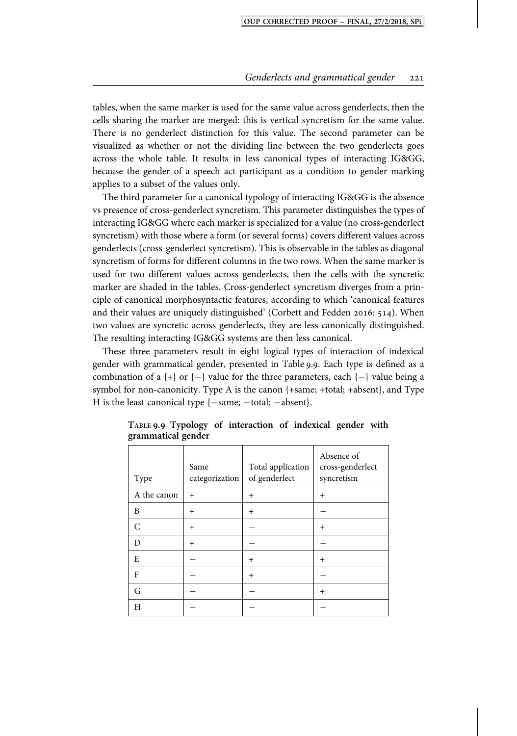tables, when the same marker is used for the same value across genderlects, then the cells sharing the marker are merged: this is vertical syncretism for the same value. There is no genderlect distinction for this value. The second parameter can be visualized as whether or not the dividing line between the two genderlects goes across the whole table. It results in less canonical types of interacting IG&GG, because the gender of a speech act participant as a condition to gender marking applies to a subset of the values only.

The third parameter for a canonical typology of interacting IG&GG is the absence vs presence of cross-genderlect syncretism. This parameter distinguishes the types of interacting IG&GG where each marker is specialized for a value (no cross-genderlect syncretism) with those where a form (or several forms) covers different values across genderlects (cross-genderlect syncretism). This is observable in the tables as diagonal syncretism of forms for different columns in the two rows. When the same marker is used for two different values across genderlects, then the cells with the syncretic marker are shaded in the tables. Cross-genderlect syncretism diverges from a principle of canonical morphosyntactic features, according to which 'canonical features and their values are uniquely distinguished' (Corbett and Fedden 2016: 514). When two values are syncretic across genderlects, they are less canonically distinguished. The resulting interacting IG&GG systems are then less canonical.

These three parameters result in eight logical types of interaction of indexical gender with grammatical gender, presented in Table 9.9. Each type is defined as a combination of a  $\{\dagger\}$  or  $\{\dagger\}$  value for the three parameters, each  $\{\dagger\}$  value being a symbol for non-canonicity. Type A is the canon {+same; +total; +absent}, and Type H is the least canonical type  $\{-\text{same}; -\text{total}; -\text{absent}\}.$ 

| Type        | Same<br>categorization | Total application<br>of genderlect | Absence of<br>cross-genderlect<br>syncretism |
|-------------|------------------------|------------------------------------|----------------------------------------------|
| A the canon | $+$                    | $^{+}$                             | $^{+}$                                       |
| B           | $\overline{+}$         | $^{+}$                             |                                              |
| C           | $^{+}$                 |                                    | $\overline{+}$                               |
| D           | $^{+}$                 |                                    |                                              |
| E           |                        | $^{+}$                             | $\overline{+}$                               |
| F           |                        | $^{+}$                             |                                              |
| G           |                        |                                    | $\overline{+}$                               |
| Н           |                        |                                    |                                              |

**TABLE . Typology of interaction of indexical gender with grammatical gender**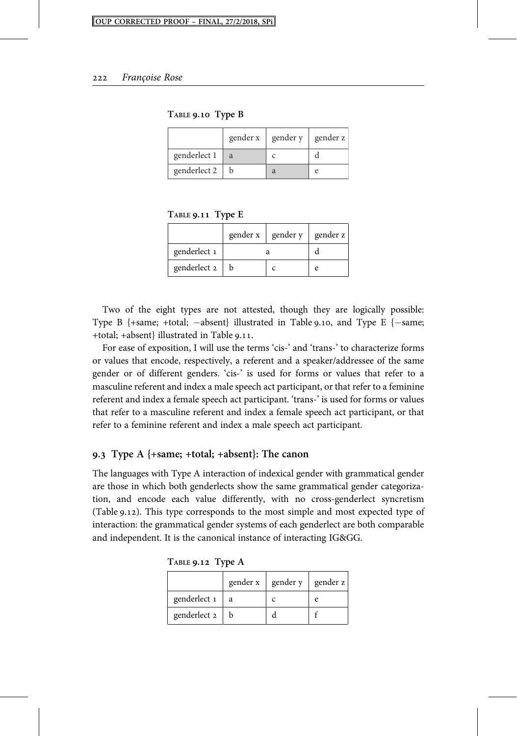**TABLE . Type B**

|              | gender x | gender y | gender z |
|--------------|----------|----------|----------|
| genderlect 1 | a        |          |          |
| genderlect 2 |          |          |          |

**TABLE . Type E**

|              |  | gender x   gender y | gender z |
|--------------|--|---------------------|----------|
| genderlect 1 |  |                     |          |
| genderlect 2 |  |                     | e        |

Two of the eight types are not attested, though they are logically possible: Type B  $\{+same; +total; -absent\}$  illustrated in Table 9.10, and Type E  $\{-same;$ +total; +absent} illustrated in Table 9.11.

For ease of exposition, I will use the terms 'cis-' and 'trans-' to characterize forms or values that encode, respectively, a referent and a speaker/addressee of the same gender or of different genders. 'cis-' is used for forms or values that refer to a masculine referent and index a male speech act participant, or that refer to a feminine referent and index a female speech act participant. 'trans-' is used for forms or values that refer to a masculine referent and index a female speech act participant, or that refer to a feminine referent and index a male speech act participant.

#### **. Type A {+same; +total; +absent}: The canon**

The languages with Type A interaction of indexical gender with grammatical gender are those in which both genderlects show the same grammatical gender categorization, and encode each value differently, with no cross-genderlect syncretism (Table 9.12). This type corresponds to the most simple and most expected type of interaction: the grammatical gender systems of each genderlect are both comparable and independent. It is the canonical instance of interacting IG&GG.

| TABLE 9.12 Type A |  |  |
|-------------------|--|--|
|-------------------|--|--|

|              |   | gender $x \mid$ gender $y \mid$ gender $z$ |   |
|--------------|---|--------------------------------------------|---|
| genderlect 1 | a |                                            | e |
| genderlect 2 |   |                                            |   |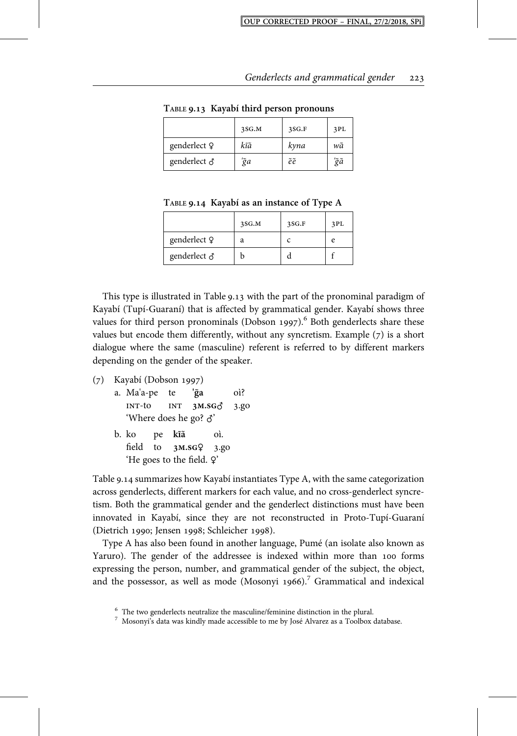|              | 3SG.M | 3SG.F | 3PL |
|--------------|-------|-------|-----|
| genderlect Q | kĩã   | kyna  | wã  |
| genderlect & | 'ỹa   | ẽẽ    | 'ğã |

**TABLE . Kayabí third person pronouns**

**TABLE . Kayabí as an instance of Type A**

|              | 3SG.M | 3SG.F | 3PL |
|--------------|-------|-------|-----|
| genderlect Q | а     |       | P   |
| genderlect & |       |       |     |

This type is illustrated in Table  $9.13$  with the part of the pronominal paradigm of Kayabí (Tupí-Guaraní) that is affected by grammatical gender. Kayabí shows three values for third person pronominals (Dobson 1997).<sup>6</sup> Both genderlects share these values but encode them differently, without any syncretism. Example  $(7)$  is a short dialogue where the same (masculine) referent is referred to by different markers depending on the gender of the speaker.

```
(7) Kayabí (Dobson 1997)
```
- a. Ma'a-pe te **'g**̃**a** oì? **INT-to INT 3M.SG** $\delta$  **3.go** 'Where does he go? ♂'
- b. ko pe **kĩa**̃ oì. field to **3M.SGQ** 3.go 'He goes to the field. ♀'

Table 9.14 summarizes how Kayabí instantiates Type A, with the same categorization across genderlects, different markers for each value, and no cross-genderlect syncretism. Both the grammatical gender and the genderlect distinctions must have been innovated in Kayabí, since they are not reconstructed in Proto-Tupí-Guaraní (Dietrich 1990; Jensen 1998; Schleicher 1998).

Type A has also been found in another language, Pumé (an isolate also known as Yaruro). The gender of the addressee is indexed within more than 100 forms expressing the person, number, and grammatical gender of the subject, the object, and the possessor, as well as mode (Mosonyi 1966).<sup>7</sup> Grammatical and indexical

 $^6$  The two genderlects neutralize the masculine/feminine distinction in the plural.  $^7$  Mosonyi's data was kindly made accessible to me by José Alvarez as a Toolbox database.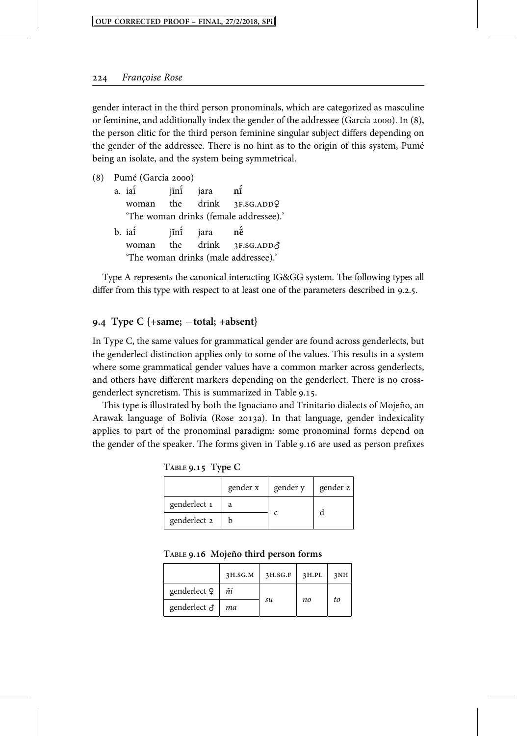gender interact in the third person pronominals, which are categorized as masculine or feminine, and additionally index the gender of the addressee (García 2000). In  $(8)$ , the person clitic for the third person feminine singular subject differs depending on the gender of the addressee. There is no hint as to the origin of this system, Pumé being an isolate, and the system being symmetrical.

| (8) |                                      | Pumé (García 2000) |      |              |                                        |
|-----|--------------------------------------|--------------------|------|--------------|----------------------------------------|
|     |                                      | a. iai             | jĩni | jara         | $n\tilde{i}$                           |
|     |                                      |                    |      |              | woman the drink 3F.SG.ADDQ             |
|     |                                      |                    |      |              | 'The woman drinks (female addressee).' |
|     |                                      | b. iai             |      | jini jara né |                                        |
|     |                                      | woman              |      |              | the drink 3F.SG.ADDO                   |
|     | 'The woman drinks (male addressee).' |                    |      |              |                                        |

Type A represents the canonical interacting IG&GG system. The following types all differ from this type with respect to at least one of the parameters described in  $9.2.5$ .

#### **. Type C {+same; total; +absent}**

In Type C, the same values for grammatical gender are found across genderlects, but the genderlect distinction applies only to some of the values. This results in a system where some grammatical gender values have a common marker across genderlects, and others have different markers depending on the genderlect. There is no crossgenderlect syncretism. This is summarized in Table 9.15.

This type is illustrated by both the Ignaciano and Trinitario dialects of Mojeño, an Arawak language of Bolivia (Rose 2013a). In that language, gender indexicality applies to part of the pronominal paradigm: some pronominal forms depend on the gender of the speaker. The forms given in Table 9.16 are used as person prefixes

**TABLE . Type C**

|              | gender x | gender y | gender z |
|--------------|----------|----------|----------|
| genderlect 1 | a        |          |          |
| genderlect 2 |          |          |          |

**TABLE . Mojeño third person forms**

|                     | 3H.SG.M | 3H.SG.F | 3H.PL | 3NH |
|---------------------|---------|---------|-------|-----|
| genderlect Q        | ñi      |         |       |     |
| genderlect $\delta$ | ma      | su      | no    | to  |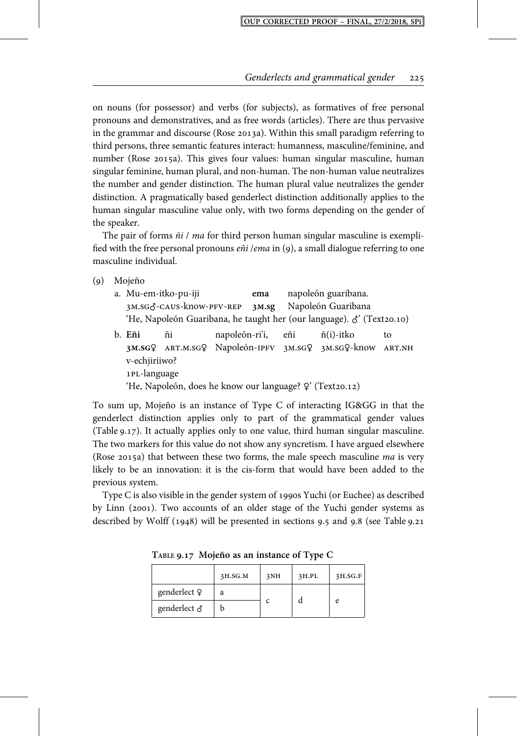on nouns (for possessor) and verbs (for subjects), as formatives of free personal pronouns and demonstratives, and as free words (articles). There are thus pervasive in the grammar and discourse (Rose 2013a). Within this small paradigm referring to third persons, three semantic features interact: humanness, masculine/feminine, and number (Rose 2015a). This gives four values: human singular masculine, human singular feminine, human plural, and non-human. The non-human value neutralizes the number and gender distinction. The human plural value neutralizes the gender distinction. A pragmatically based genderlect distinction additionally applies to the human singular masculine value only, with two forms depending on the gender of the speaker.

The pair of forms  $\tilde{n}$  / ma for third person human singular masculine is exemplified with the free personal pronouns  $e\tilde{n}i$  /ema in (9), a small dialogue referring to one masculine individual.

- () Mojeño
	- a. Mu-em-itko-pu-iji **ema** napoleón guaribana. 3M.SG<sub>Q</sub>-CAUS-know-PFV-REP 3M.sg Napoleón Guaribana 'He, Napoleón Guaribana, he taught her (our language).  $\delta$ ' (Text20.10) b. **Eñi** ñi napoleón-ri'i, eñi ñ(i)-itko to 3M.SGQ ART.M.SGQ Napoleón-IPFV 3M.SGQ 3M.SGQ-know ART.NH
		- v-echjiriiwo? 1PL-language 'He, Napoleón, does he know our language?  $\varphi$ ' (Text20.12)

To sum up, Mojeño is an instance of Type C of interacting IG&GG in that the genderlect distinction applies only to part of the grammatical gender values (Table 9.17). It actually applies only to one value, third human singular masculine. The two markers for this value do not show any syncretism. I have argued elsewhere (Rose 2015a) that between these two forms, the male speech masculine  $ma$  is very likely to be an innovation: it is the cis-form that would have been added to the previous system.

Type C is also visible in the gender system of 1990s Yuchi (or Euchee) as described by Linn (2001). Two accounts of an older stage of the Yuchi gender systems as described by Wolff  $(1948)$  will be presented in sections 9.5 and 9.8 (see Table 9.21

|                     | 3H.SG.M | 3NH | 3H.PL | 3H.SG.F |
|---------------------|---------|-----|-------|---------|
| genderlect Q        | a       |     |       |         |
| genderlect $\delta$ |         |     |       | P       |

**TABLE . Mojeño as an instance of Type C**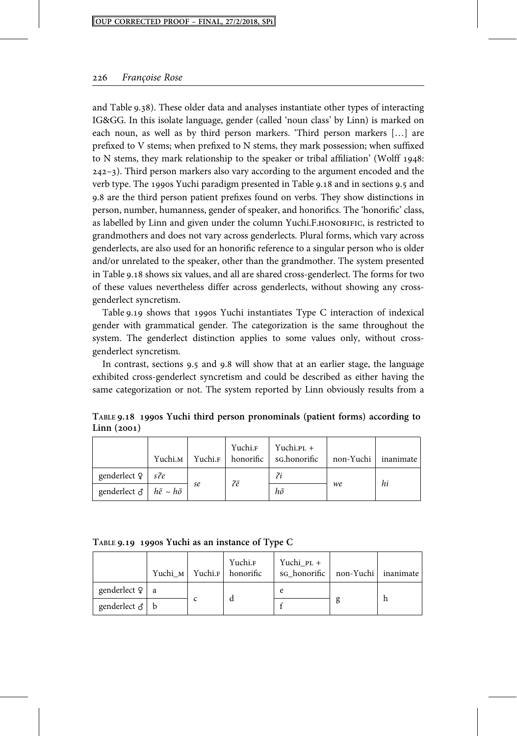and Table 9.38). These older data and analyses instantiate other types of interacting IG&GG. In this isolate language, gender (called 'noun class' by Linn) is marked on each noun, as well as by third person markers. 'Third person markers […] are prefixed to V stems; when prefixed to N stems, they mark possession; when suffixed to N stems, they mark relationship to the speaker or tribal affiliation' (Wolff  $1948$ : –). Third person markers also vary according to the argument encoded and the verb type. The 1990s Yuchi paradigm presented in Table 9.18 and in sections 9.5 and 9.8 are the third person patient prefixes found on verbs. They show distinctions in person, number, humanness, gender of speaker, and honorifics. The 'honorific' class, as labelled by Linn and given under the column Yuchi.F.HONORIFIC, is restricted to grandmothers and does not vary across genderlects. Plural forms, which vary across genderlects, are also used for an honorific reference to a singular person who is older and/or unrelated to the speaker, other than the grandmother. The system presented in Table 9.18 shows six values, and all are shared cross-genderlect. The forms for two of these values nevertheless differ across genderlects, without showing any crossgenderlect syncretism.

Table  $9.19$  shows that 1990s Yuchi instantiates Type C interaction of indexical gender with grammatical gender. The categorization is the same throughout the system. The genderlect distinction applies to some values only, without crossgenderlect syncretism.

In contrast, sections 9.5 and 9.8 will show that at an earlier stage, the language exhibited cross-genderlect syncretism and could be described as either having the same categorization or not. The system reported by Linn obviously results from a

|                                                    | Yuchi.м |    |    | Yuchi. <sub>F</sub> Yuchi.p <sub>L</sub> +<br>Yuchi. <sub>F</sub> honorific sG.honorific | non-Yuchi inanimate |    |
|----------------------------------------------------|---------|----|----|------------------------------------------------------------------------------------------|---------------------|----|
| genderlect $9 \mid s \cdot 2e$                     |         |    | ?ẽ | ?i                                                                                       |                     | hi |
| genderlect $\delta$   $h\tilde{e} \sim h\tilde{o}$ |         | se |    | hõ                                                                                       | we                  |    |

**TABLE . s Yuchi third person pronominals (patient forms) according to** Linn (2001)

| TABLE 9.19 1990s Yuchi as an instance of Type C |  |  |  |  |
|-------------------------------------------------|--|--|--|--|
|                                                 |  |  |  |  |

|                        | Yuchi м | Yuchi.F | Yuchi.F<br>honorific | Yuchi_PL +<br>sq honorific | non-Yuchi inanimate |  |
|------------------------|---------|---------|----------------------|----------------------------|---------------------|--|
| genderlect $\varphi$ a |         |         |                      | e                          |                     |  |
| genderlect $\delta$ b  |         |         |                      |                            |                     |  |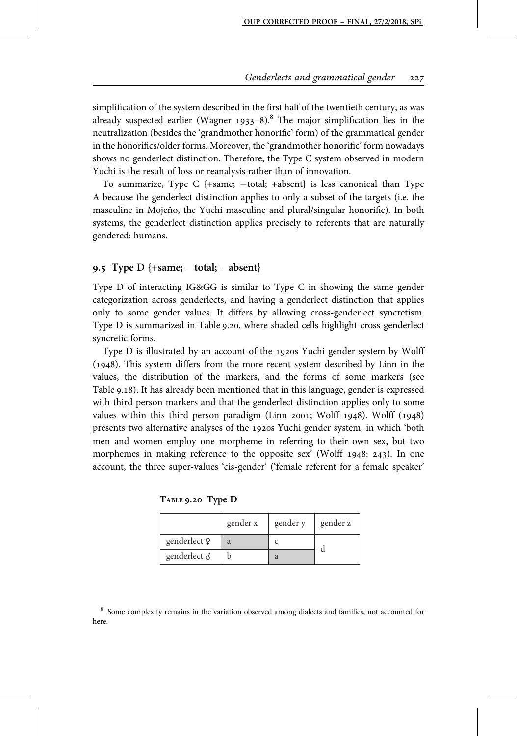simplification of the system described in the first half of the twentieth century, as was already suspected earlier (Wagner 1933–8).<sup>8</sup> The major simplification lies in the neutralization (besides the 'grandmother honorific' form) of the grammatical gender in the honorifics/older forms. Moreover, the 'grandmother honorific' form nowadays shows no genderlect distinction. Therefore, the Type C system observed in modern Yuchi is the result of loss or reanalysis rather than of innovation.

To summarize, Type C  $\{+same; -total; +absent\}$  is less canonical than Type A because the genderlect distinction applies to only a subset of the targets (i.e. the masculine in Mojeño, the Yuchi masculine and plural/singular honorific). In both systems, the genderlect distinction applies precisely to referents that are naturally gendered: humans.

#### **. Type D {+same; total; absent}**

Type D of interacting IG&GG is similar to Type C in showing the same gender categorization across genderlects, and having a genderlect distinction that applies only to some gender values. It differs by allowing cross-genderlect syncretism. Type D is summarized in Table 9.20, where shaded cells highlight cross-genderlect syncretic forms.

Type  $D$  is illustrated by an account of the 1920s Yuchi gender system by Wolff  $(1948)$ . This system differs from the more recent system described by Linn in the values, the distribution of the markers, and the forms of some markers (see Table 9.18). It has already been mentioned that in this language, gender is expressed with third person markers and that the genderlect distinction applies only to some values within this third person paradigm (Linn 2001; Wolff  $1948$ ). Wolff  $(1948)$ presents two alternative analyses of the 1920s Yuchi gender system, in which 'both men and women employ one morpheme in referring to their own sex, but two morphemes in making reference to the opposite sex' (Wolff  $1948: 243$ ). In one account, the three super-values 'cis-gender' ('female referent for a female speaker'

**TABLE . Type D**

|                     | gender x | gender y | gender z |
|---------------------|----------|----------|----------|
| genderlect 9        | a        |          |          |
| genderlect $\delta$ |          |          |          |

<sup>8</sup> Some complexity remains in the variation observed among dialects and families, not accounted for here.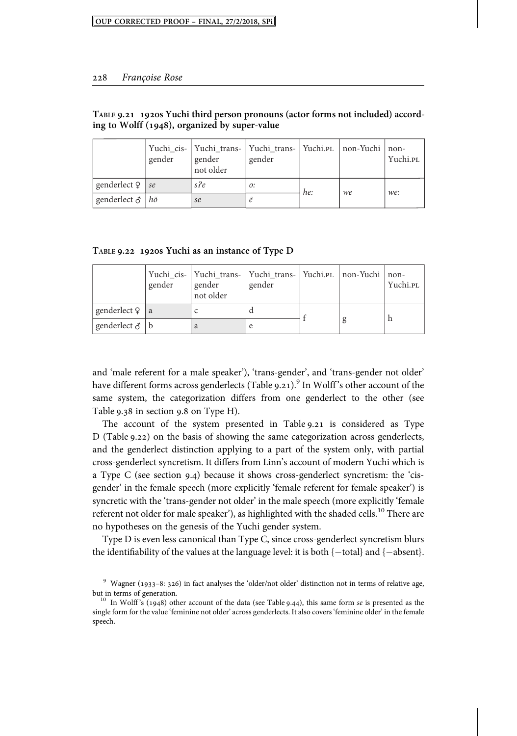|                                  | gender | Yuchi_cis-   Yuchi_trans-   Yuchi_trans-   Yuchi.pl   non-Yuchi   non-<br>gender<br>not older | gender |     |    | Yuchi.PL |
|----------------------------------|--------|-----------------------------------------------------------------------------------------------|--------|-----|----|----------|
| genderlect $\frac{9}{5}$ se      |        | s?e                                                                                           | 0:     | he: | we | we:      |
| genderlect $\delta   h\tilde{o}$ |        | se                                                                                            |        |     |    |          |

#### **TABLE . s Yuchi third person pronouns (actor forms not included) according to Wolff (), organized by super-value**

TABLE 9.22 1920s Yuchi as an instance of Type D

|                        | gender | Yuchi_cis-   Yuchi_trans-   Yuchi_trans-   Yuchi.pl   non-Yuchi   non-<br>gender<br>not older | gender |  | Yuchi.PL |
|------------------------|--------|-----------------------------------------------------------------------------------------------|--------|--|----------|
| genderlect $\varphi$ a |        |                                                                                               |        |  |          |
| genderlect $\delta$ b  |        | a                                                                                             |        |  |          |

and 'male referent for a male speaker'), 'trans-gender', and 'trans-gender not older' have different forms across genderlects (Table 9.21).<sup>9</sup> In Wolff's other account of the same system, the categorization differs from one genderlect to the other (see Table  $9.38$  in section  $9.8$  on Type H).

The account of the system presented in Table 9.21 is considered as Type D (Table 9.22) on the basis of showing the same categorization across genderlects, and the genderlect distinction applying to a part of the system only, with partial cross-genderlect syncretism. It differs from Linn's account of modern Yuchi which is a Type C (see section 9.4) because it shows cross-genderlect syncretism: the 'cisgender' in the female speech (more explicitly 'female referent for female speaker') is syncretic with the 'trans-gender not older' in the male speech (more explicitly 'female referent not older for male speaker'), as highlighted with the shaded cells.<sup>10</sup> There are no hypotheses on the genesis of the Yuchi gender system.

Type D is even less canonical than Type C, since cross-genderlect syncretism blurs the identifiability of the values at the language level: it is both  $\{-total\}$  and  $\{-absent\}$ .

 $9$  Wagner (1933–8: 326) in fact analyses the 'older/not older' distinction not in terms of relative age, but in terms of generation.<br><sup>10</sup> In Wolff's (1948) other account of the data (see Table 9.44), this same form *se* is presented as the

single form for the value 'feminine not older' across genderlects. It also covers 'feminine older' in the female speech.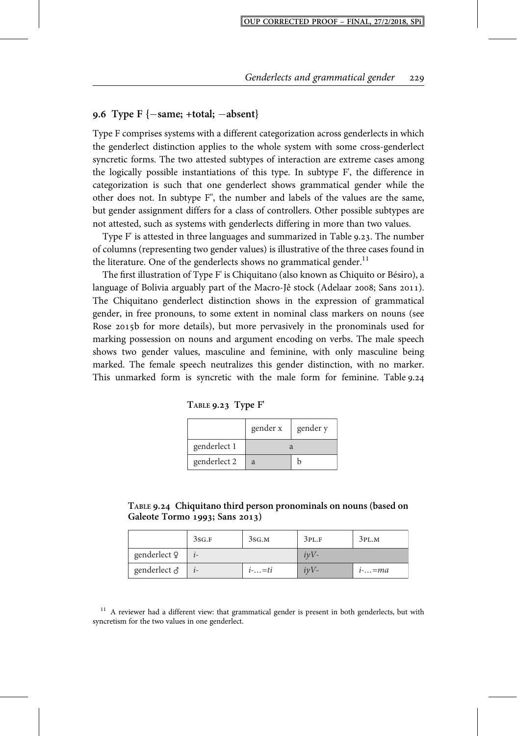## **. Type F {same; +total; absent}**

Type F comprises systems with a different categorization across genderlects in which the genderlect distinction applies to the whole system with some cross-genderlect syncretic forms. The two attested subtypes of interaction are extreme cases among the logically possible instantiations of this type. In subtype F', the difference in categorization is such that one genderlect shows grammatical gender while the other does not. In subtype F", the number and labels of the values are the same, but gender assignment differs for a class of controllers. Other possible subtypes are not attested, such as systems with genderlects differing in more than two values.

Type F' is attested in three languages and summarized in Table 9.23. The number of columns (representing two gender values) is illustrative of the three cases found in the literature. One of the genderlects shows no grammatical gender.<sup>11</sup>

The first illustration of Type F' is Chiquitano (also known as Chiquito or Bésɨro), a language of Bolivia arguably part of the Macro-Jê stock (Adelaar 2008; Sans 2011). The Chiquitano genderlect distinction shows in the expression of grammatical gender, in free pronouns, to some extent in nominal class markers on nouns (see Rose 2015b for more details), but more pervasively in the pronominals used for marking possession on nouns and argument encoding on verbs. The male speech shows two gender values, masculine and feminine, with only masculine being marked. The female speech neutralizes this gender distinction, with no marker. This unmarked form is syncretic with the male form for feminine. Table 9.24

|              | gender x | gender y |  |
|--------------|----------|----------|--|
| genderlect 1 |          |          |  |
| genderlect 2 |          |          |  |

**TABLE . Type F'**

**TABLE . Chiquitano third person pronominals on nouns (based on Galeote Tormo ; Sans )**

|                     | 3SG.F | 3SG.M    | 3PL.F  | 3PL.M    |
|---------------------|-------|----------|--------|----------|
| genderlect 9        |       |          | $ivV-$ |          |
| genderlect $\delta$ |       | $i$ -=ti | $ivV-$ | $i$ -=ma |

<sup>11</sup> A reviewer had a different view: that grammatical gender is present in both genderlects, but with syncretism for the two values in one genderlect.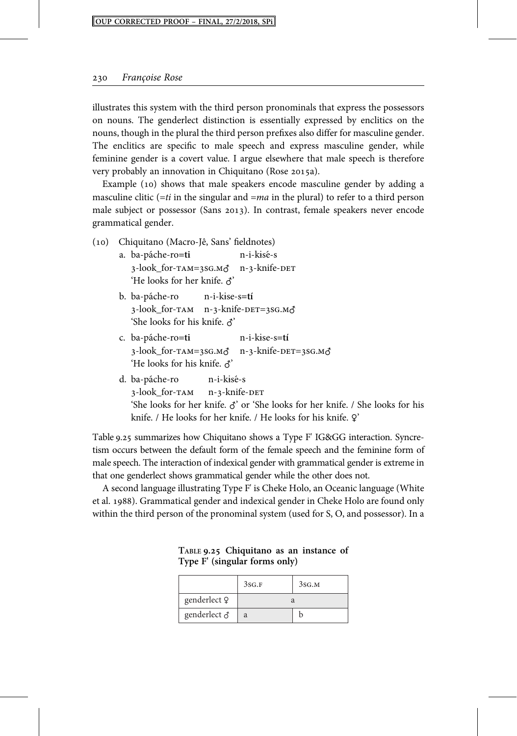illustrates this system with the third person pronominals that express the possessors on nouns. The genderlect distinction is essentially expressed by enclitics on the nouns, though in the plural the third person prefixes also differ for masculine gender. The enclitics are specific to male speech and express masculine gender, while feminine gender is a covert value. I argue elsewhere that male speech is therefore very probably an innovation in Chiquitano (Rose 2015a).

Example  $(10)$  shows that male speakers encode masculine gender by adding a masculine clitic ( $=ti$  in the singular and  $=ma$  in the plural) to refer to a third person male subject or possessor (Sans 2013). In contrast, female speakers never encode grammatical gender.

- () Chiquitano (Macro-Jê, Sans' fieldnotes) a. ba-páche-ro**=ti** n-i-kɨsé-s 3-look\_for-TAM=3SG.M& n-3-knife-DET 'He looks for her knife. ♂' b. ba-páche-ro n-i-kɨse-s**=tí**
	- 3-look\_for- $\tau$ AM n-3-knife-DET=3SG.M $\delta$ 'She looks for his knife. ♂'
	- c. ba-páche-ro**=ti** n-i-kɨse-s**=tí**  $3$ -look for- $TAM = 3SG.M\phi$  n- $3$ -knife-DET= $3SG.M\phi$ 'He looks for his knife. ♂'
	- d. ba-páche-ro n-i-kɨsé-s 3-look for-TAM n-3-knife-DET 'She looks for her knife. ♂' or 'She looks for her knife. / She looks for his knife. / He looks for her knife. / He looks for his knife. ?

Table 9.25 summarizes how Chiquitano shows a Type F' IG&GG interaction. Syncretism occurs between the default form of the female speech and the feminine form of male speech. The interaction of indexical gender with grammatical gender is extreme in that one genderlect shows grammatical gender while the other does not.

A second language illustrating Type F' is Cheke Holo, an Oceanic language (White et al. 1988). Grammatical gender and indexical gender in Cheke Holo are found only within the third person of the pronominal system (used for S, O, and possessor). In a

|              | 3SG.F | 3SG.M |  |
|--------------|-------|-------|--|
| genderlect Q |       |       |  |
| genderlect & | a     |       |  |

**TABLE . Chiquitano as an instance of Type F' (singular forms only)**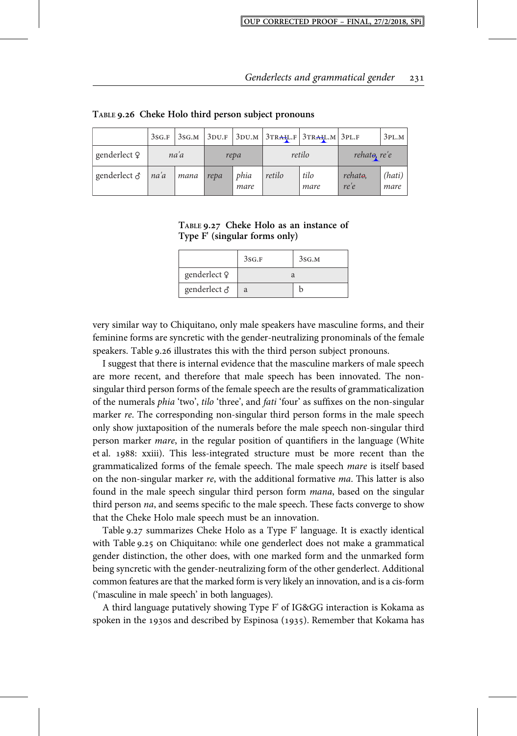|              | 3SG.F | 3SG.M |      |              |        | $3DU.F$ 3DU.M $3TRAFL.F$ 3TRALL.M 3PL.F |                              | 3PL.M          |
|--------------|-------|-------|------|--------------|--------|-----------------------------------------|------------------------------|----------------|
| genderlect ? |       | na'a  | repa |              | retilo |                                         | rehato, re'e                 |                |
| genderlect ∂ | na'a  | mana  | repa | phia<br>mare | retilo | tilo<br>mare                            | rehat <del>o</del> ,<br>re'e | (hati)<br>mare |

**TABLE . Cheke Holo third person subject pronouns**

| TABLE 9.27 Cheke Holo as an instance of |  |  |  |
|-----------------------------------------|--|--|--|
| Type F' (singular forms only)           |  |  |  |

|                     | 3SG.F | 3SG.M |  |
|---------------------|-------|-------|--|
| genderlect 9        |       |       |  |
| genderlect $\delta$ | a     |       |  |

very similar way to Chiquitano, only male speakers have masculine forms, and their feminine forms are syncretic with the gender-neutralizing pronominals of the female speakers. Table 9.26 illustrates this with the third person subject pronouns.

I suggest that there is internal evidence that the masculine markers of male speech are more recent, and therefore that male speech has been innovated. The nonsingular third person forms of the female speech are the results of grammaticalization of the numerals phia 'two', tilo 'three', and fati 'four' as suffixes on the non-singular marker re. The corresponding non-singular third person forms in the male speech only show juxtaposition of the numerals before the male speech non-singular third person marker mare, in the regular position of quantifiers in the language (White et al. 1988: xxiii). This less-integrated structure must be more recent than the grammaticalized forms of the female speech. The male speech mare is itself based on the non-singular marker re, with the additional formative ma. This latter is also found in the male speech singular third person form mana, based on the singular third person na, and seems specific to the male speech. These facts converge to show that the Cheke Holo male speech must be an innovation.

Table 9.27 summarizes Cheke Holo as a Type F' language. It is exactly identical with Table 9.25 on Chiquitano: while one genderlect does not make a grammatical gender distinction, the other does, with one marked form and the unmarked form being syncretic with the gender-neutralizing form of the other genderlect. Additional common features are that the marked form is very likely an innovation, and is a cis-form ('masculine in male speech' in both languages).

A third language putatively showing Type F' of IG&GG interaction is Kokama as spoken in the 1930s and described by Espinosa (1935). Remember that Kokama has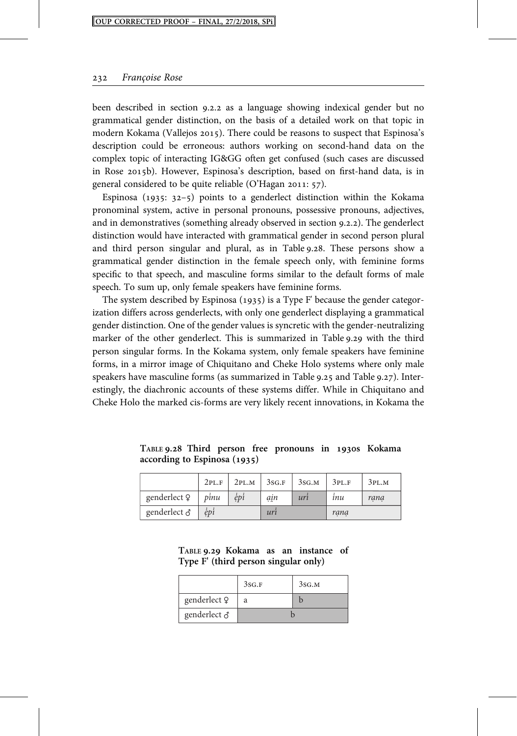been described in section 9.2.2 as a language showing indexical gender but no grammatical gender distinction, on the basis of a detailed work on that topic in modern Kokama (Vallejos 2015). There could be reasons to suspect that Espinosa's description could be erroneous: authors working on second-hand data on the complex topic of interacting IG&GG often get confused (such cases are discussed in Rose 2015b). However, Espinosa's description, based on first-hand data, is in general considered to be quite reliable  $(O'Hagan 2011: 57)$ .

Espinosa  $(1935: 32-5)$  points to a genderlect distinction within the Kokama pronominal system, active in personal pronouns, possessive pronouns, adjectives, and in demonstratives (something already observed in section 9.2.2). The genderlect distinction would have interacted with grammatical gender in second person plural and third person singular and plural, as in Table 9.28. These persons show a grammatical gender distinction in the female speech only, with feminine forms specific to that speech, and masculine forms similar to the default forms of male speech. To sum up, only female speakers have feminine forms.

The system described by Espinosa  $(1935)$  is a Type F' because the gender categorization differs across genderlects, with only one genderlect displaying a grammatical gender distinction. One of the gender values is syncretic with the gender-neutralizing marker of the other genderlect. This is summarized in Table 9.29 with the third person singular forms. In the Kokama system, only female speakers have feminine forms, in a mirror image of Chiquitano and Cheke Holo systems where only male speakers have masculine forms (as summarized in Table  $9.25$  and Table  $9.27$ ). Interestingly, the diachronic accounts of these systems differ. While in Chiquitano and Cheke Holo the marked cis-forms are very likely recent innovations, in Kokama the

| TABLE 9.28 Third person free pronouns in 1930s Kokama |  |  |  |  |
|-------------------------------------------------------|--|--|--|--|
| according to Espinosa (1935)                          |  |  |  |  |

|              | 2PL.F               |                                        | $2PL.M$ 3sg. F | 3sg.m | 3PL.F | 3PL.M |
|--------------|---------------------|----------------------------------------|----------------|-------|-------|-------|
| genderlect 9 | pinu                | $\dot{\epsilon}$ <i>p</i> <sup>1</sup> | ạịn            | uri   | inu   | rana  |
| genderlect ∂ | $\dot{e}$ <i>pi</i> |                                        | urr            |       | rana  |       |

**TABLE . Kokama as an instance of Type F' (third person singular only)**

|              | 3SG.F | 3SG.M |
|--------------|-------|-------|
| genderlect Q | a     |       |
| genderlect & |       |       |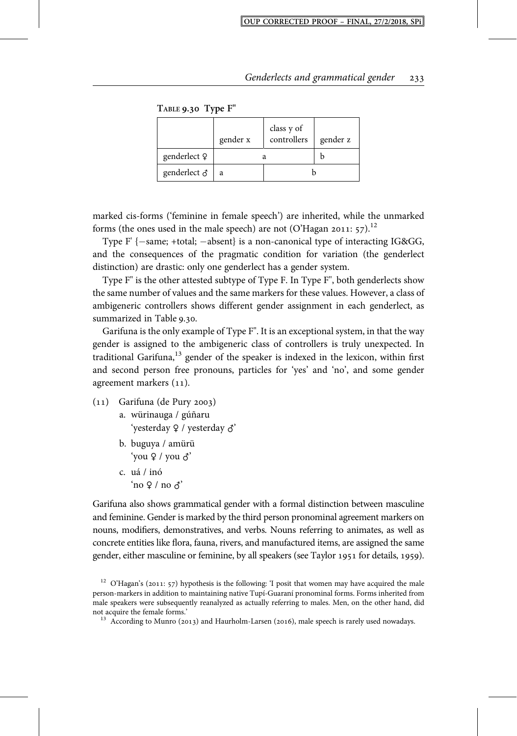**TABLE . Type F"**

|                         | gender x | class y of<br>controllers | gender z |
|-------------------------|----------|---------------------------|----------|
| genderlect <sup>o</sup> |          |                           |          |
| genderlect $\delta$     | a        |                           |          |

marked cis-forms ('feminine in female speech') are inherited, while the unmarked forms (the ones used in the male speech) are not (O'Hagan 2011:  $57$ ).<sup>12</sup>

Type  $F'$  { $-same$ ; +total;  $-absent$ } is a non-canonical type of interacting IG&GG, and the consequences of the pragmatic condition for variation (the genderlect distinction) are drastic: only one genderlect has a gender system.

Type F" is the other attested subtype of Type F. In Type F'', both genderlects show the same number of values and the same markers for these values. However, a class of ambigeneric controllers shows different gender assignment in each genderlect, as summarized in Table 9.30.

Garifuna is the only example of Type F". It is an exceptional system, in that the way gender is assigned to the ambigeneric class of controllers is truly unexpected. In traditional Garifuna,<sup>13</sup> gender of the speaker is indexed in the lexicon, within first and second person free pronouns, particles for 'yes' and 'no', and some gender agreement markers (11).

- $(11)$  Garifuna (de Pury 2003) a. würinauga / gúñaru
	- 'yesterday ♀ / yesterday ♂'
	- b. buguya / amürü 'you ♀ / you ♂'
	- c. uá / inó  $'no$  ? / no  $\lambda$ '

Garifuna also shows grammatical gender with a formal distinction between masculine and feminine. Gender is marked by the third person pronominal agreement markers on nouns, modifiers, demonstratives, and verbs. Nouns referring to animates, as well as concrete entities like flora, fauna, rivers, and manufactured items, are assigned the same gender, either masculine or feminine, by all speakers (see Taylor 1951 for details, 1959).

<sup>&</sup>lt;sup>12</sup> O'Hagan's (2011: 57) hypothesis is the following: 'I posit that women may have acquired the male person-markers in addition to maintaining native Tupí-Guaraní pronominal forms. Forms inherited from male speakers were subsequently reanalyzed as actually referring to males. Men, on the other hand, did not acquire the female forms.' 13 According to Munro (2013) and Haurholm-Larsen (2016), male speech is rarely used nowadays.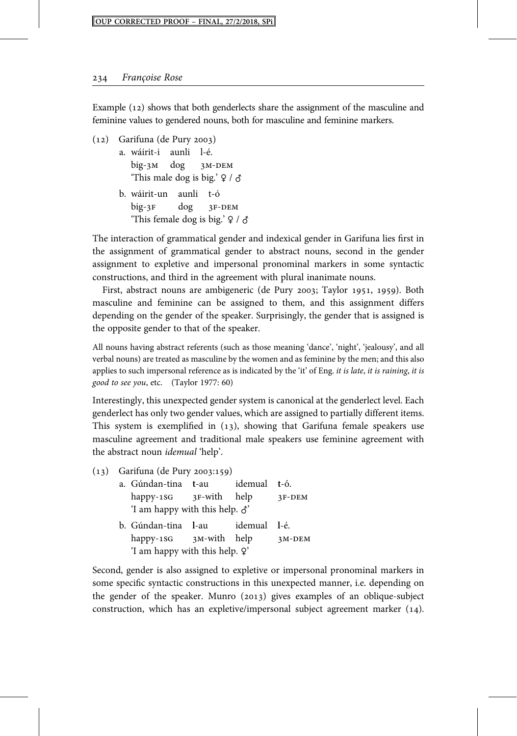Example  $(12)$  shows that both genderlects share the assignment of the masculine and feminine values to gendered nouns, both for masculine and feminine markers.

- $(12)$  Garifuna (de Pury 2003) a. wáirit-i aunli l-é.  $big-3M$   $dog$   $3M-DEM$ 'This male dog is big.'  $\varphi$  /  $\varphi$ 
	- b. wáirit-un aunli t-ó  $big-3F$   $dog$   $3F-DEM$ 'This female dog is big.'  $\frac{1}{2}$  /  $\frac{1}{2}$

The interaction of grammatical gender and indexical gender in Garifuna lies first in the assignment of grammatical gender to abstract nouns, second in the gender assignment to expletive and impersonal pronominal markers in some syntactic constructions, and third in the agreement with plural inanimate nouns.

First, abstract nouns are ambigeneric (de Pury 2003; Taylor 1951, 1959). Both masculine and feminine can be assigned to them, and this assignment differs depending on the gender of the speaker. Surprisingly, the gender that is assigned is the opposite gender to that of the speaker.

All nouns having abstract referents (such as those meaning 'dance', 'night', 'jealousy', and all verbal nouns) are treated as masculine by the women and as feminine by the men; and this also applies to such impersonal reference as is indicated by the 'it' of Eng. it is late, it is raining, it is good to see you, etc. (Taylor 1977: 60)

Interestingly, this unexpected gender system is canonical at the genderlect level. Each genderlect has only two gender values, which are assigned to partially different items. This system is exemplified in  $(13)$ , showing that Garifuna female speakers use masculine agreement and traditional male speakers use feminine agreement with the abstract noun idemual 'help'.

- $(13)$  Garifuna (de Pury 2003:159) a. Gúndan-tina **t**-au idemual **t**-ó.  $h$ appy-1SG 3F-with help 3F-DEM 'I am happy with this help. ♂' b. Gúndan-tina **l**-au idemual **l**-é.
	- happy-18G  $_3$ M-with help  $_3$ M-DEM 'I am happy with this help. ♀'

Second, gender is also assigned to expletive or impersonal pronominal markers in some specific syntactic constructions in this unexpected manner, i.e. depending on the gender of the speaker. Munro  $(2013)$  gives examples of an oblique-subject construction, which has an expletive/impersonal subject agreement marker  $(14)$ .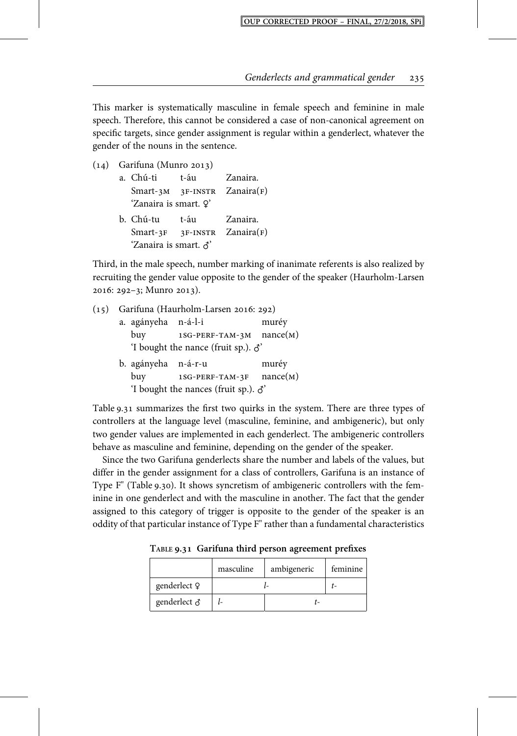This marker is systematically masculine in female speech and feminine in male speech. Therefore, this cannot be considered a case of non-canonical agreement on specific targets, since gender assignment is regular within a genderlect, whatever the gender of the nouns in the sentence.

 $(14)$  Garifuna (Munro 2013)

| a. Chú-ti             | t-áu | Zanaira.                         |
|-----------------------|------|----------------------------------|
|                       |      | $Smart-3M$ 3F-INSTR Zanaira(F)   |
| 'Zanaira is smart. ?' |      |                                  |
|                       |      |                                  |
| b. Chú-tu             | t-áu | Zanaira.                         |
|                       |      | $Smart-3F - 3F-INSTR Zanaira(F)$ |

Third, in the male speech, number marking of inanimate referents is also realized by recruiting the gender value opposite to the gender of the speaker (Haurholm-Larsen 2016: 292-3; Munro 2013).

| (15) |                                              | Garifuna (Haurholm-Larsen 2016: 292)        |          |
|------|----------------------------------------------|---------------------------------------------|----------|
|      | a. agányeha n-á-l-i                          |                                             | muréy    |
|      | buy                                          | $1SG-PERF-TAM-3M$ nance(M)                  |          |
|      |                                              | 'I bought the nance (fruit sp.). $\delta$ ' |          |
|      | b. agányeha n-á-r-u                          |                                             | muréy    |
|      | buy                                          | 1SG-PERF-TAM-3F                             | nance(M) |
|      | 'I bought the nances (fruit sp.). $\delta$ ' |                                             |          |

Table 9.31 summarizes the first two quirks in the system. There are three types of controllers at the language level (masculine, feminine, and ambigeneric), but only two gender values are implemented in each genderlect. The ambigeneric controllers behave as masculine and feminine, depending on the gender of the speaker.

Since the two Garifuna genderlects share the number and labels of the values, but differ in the gender assignment for a class of controllers, Garifuna is an instance of Type F" (Table 9.30). It shows syncretism of ambigeneric controllers with the feminine in one genderlect and with the masculine in another. The fact that the gender assigned to this category of trigger is opposite to the gender of the speaker is an oddity of that particular instance of Type F" rather than a fundamental characteristics

**TABLE . Garifuna third person agreement prefixes**

|                     | masculine | ambigeneric | feminine |
|---------------------|-----------|-------------|----------|
| genderlect Q        |           |             |          |
| genderlect $\delta$ |           |             |          |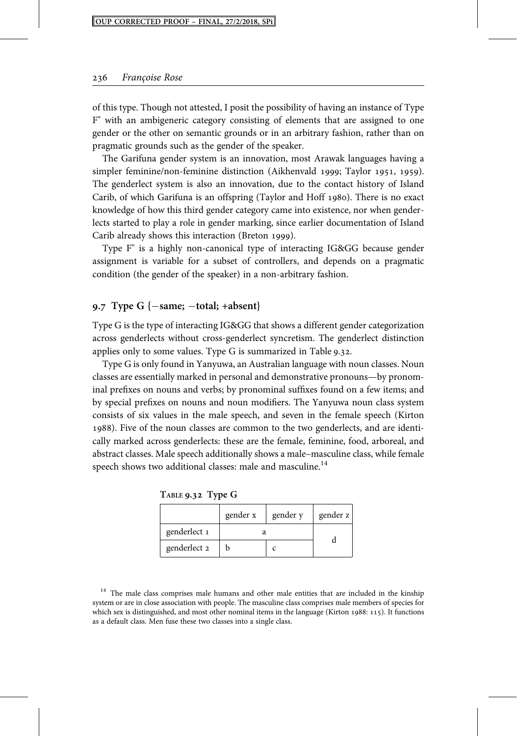of this type. Though not attested, I posit the possibility of having an instance of Type F" with an ambigeneric category consisting of elements that are assigned to one gender or the other on semantic grounds or in an arbitrary fashion, rather than on pragmatic grounds such as the gender of the speaker.

The Garifuna gender system is an innovation, most Arawak languages having a simpler feminine/non-feminine distinction (Aikhenvald 1999; Taylor 1951, 1959). The genderlect system is also an innovation, due to the contact history of Island Carib, of which Garifuna is an offspring (Taylor and Hoff 1980). There is no exact knowledge of how this third gender category came into existence, nor when genderlects started to play a role in gender marking, since earlier documentation of Island Carib already shows this interaction (Breton 1999).

Type F" is a highly non-canonical type of interacting IG&GG because gender assignment is variable for a subset of controllers, and depends on a pragmatic condition (the gender of the speaker) in a non-arbitrary fashion.

#### **. Type G {same; total; +absent}**

Type G is the type of interacting IG&GG that shows a different gender categorization across genderlects without cross-genderlect syncretism. The genderlect distinction applies only to some values. Type G is summarized in Table  $9.32$ .

Type G is only found in Yanyuwa, an Australian language with noun classes. Noun classes are essentially marked in personal and demonstrative pronouns—by pronominal prefixes on nouns and verbs; by pronominal suffixes found on a few items; and by special prefixes on nouns and noun modifiers. The Yanyuwa noun class system consists of six values in the male speech, and seven in the female speech (Kirton ). Five of the noun classes are common to the two genderlects, and are identically marked across genderlects: these are the female, feminine, food, arboreal, and abstract classes. Male speech additionally shows a male–masculine class, while female speech shows two additional classes: male and masculine.<sup>14</sup>

|              | gender x | gender y | gender z |
|--------------|----------|----------|----------|
| genderlect 1 |          |          |          |
| genderlect 2 |          |          |          |

**TABLE . Type G**

<sup>&</sup>lt;sup>14</sup> The male class comprises male humans and other male entities that are included in the kinship system or are in close association with people. The masculine class comprises male members of species for which sex is distinguished, and most other nominal items in the language (Kirton 1988: 115). It functions as a default class. Men fuse these two classes into a single class.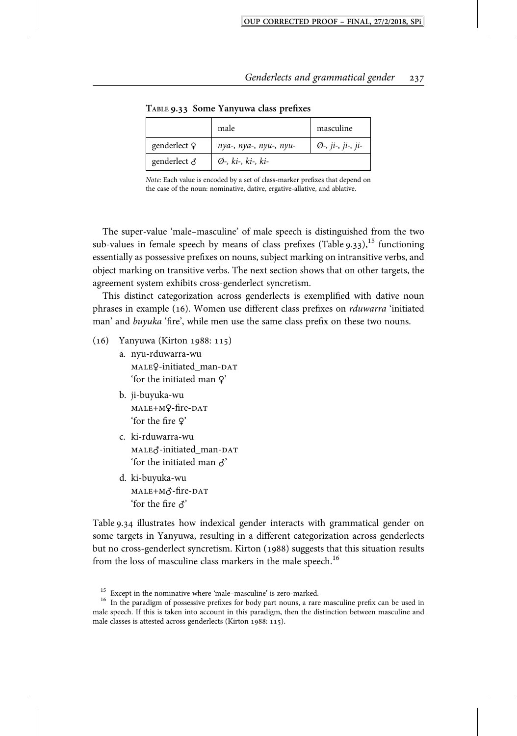|              | male                         | masculine                    |
|--------------|------------------------------|------------------------------|
| genderlect Q | nya-, nya-, nyu-, nyu-       | $\emptyset$ -, ji-, ji-, ji- |
| genderlect & | $\emptyset$ -, ki-, ki-, ki- |                              |

**TABLE . Some Yanyuwa class prefixes**

Note: Each value is encoded by a set of class-marker prefixes that depend on the case of the noun: nominative, dative, ergative-allative, and ablative.

The super-value 'male–masculine' of male speech is distinguished from the two sub-values in female speech by means of class prefixes (Table  $9.33$ ),<sup>15</sup> functioning essentially as possessive prefixes on nouns, subject marking on intransitive verbs, and object marking on transitive verbs. The next section shows that on other targets, the agreement system exhibits cross-genderlect syncretism.

This distinct categorization across genderlects is exemplified with dative noun phrases in example (16). Women use different class prefixes on rduwarra 'initiated man' and buyuka 'fire', while men use the same class prefix on these two nouns.

- $(16)$  Yanyuwa (Kirton 1988: 115)
	- a. nyu-rduwarra-wu MALEQ-initiated\_man-DAT 'for the initiated man ♀'
	- b. ji-buyuka-wu MALE+MQ-fire-DAT 'for the fire ♀'
	- c. ki-rduwarra-wu MALE∂-initiated\_man-DAT 'for the initiated man ♂'
	- d. ki-buyuka-wu  $MALE+M\vec{C}$ -fire-DAT 'for the fire  $\lambda$ '

Table 9.34 illustrates how indexical gender interacts with grammatical gender on some targets in Yanyuwa, resulting in a different categorization across genderlects but no cross-genderlect syncretism. Kirton (1988) suggests that this situation results from the loss of masculine class markers in the male speech.<sup>16</sup>

<sup>&</sup>lt;sup>15</sup> Except in the nominative where 'male–masculine' is zero-marked.<br><sup>16</sup> In the paradigm of possessive prefixes for body part nouns, a rare masculine prefix can be used in male speech. If this is taken into account in this paradigm, then the distinction between masculine and male classes is attested across genderlects (Kirton 1988: 115).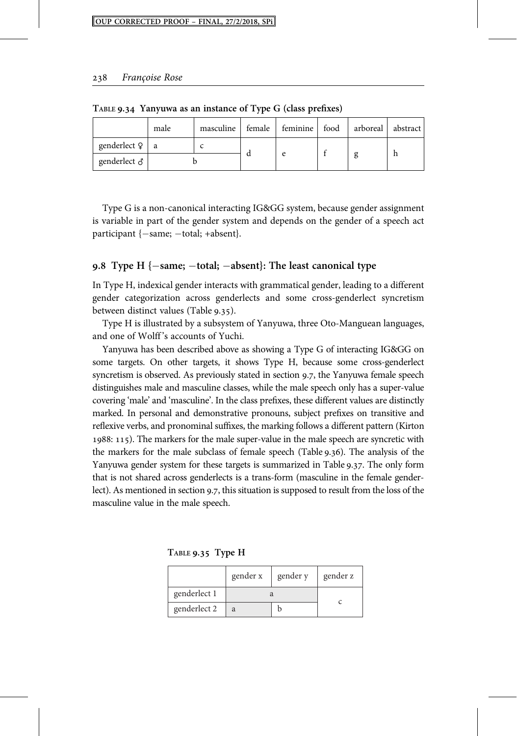|                       | male | masculine | female | feminine food | arboreal | abstract |
|-----------------------|------|-----------|--------|---------------|----------|----------|
| genderlect $9 \mid a$ |      |           |        |               |          |          |
| genderlect $\delta$   |      |           |        |               |          | h        |

**TABLE . Yanyuwa as an instance of Type G (class prefixes)**

Type G is a non-canonical interacting IG&GG system, because gender assignment is variable in part of the gender system and depends on the gender of a speech act participant  $\{-\text{same}; -\text{total}; +\text{absent}\}.$ 

#### **. Type H {same; total; absent}: The least canonical type**

In Type H, indexical gender interacts with grammatical gender, leading to a different gender categorization across genderlects and some cross-genderlect syncretism between distinct values (Table 9.35).

Type H is illustrated by a subsystem of Yanyuwa, three Oto-Manguean languages, and one of Wolff 's accounts of Yuchi.

Yanyuwa has been described above as showing a Type G of interacting IG&GG on some targets. On other targets, it shows Type H, because some cross-genderlect syncretism is observed. As previously stated in section 9.7, the Yanyuwa female speech distinguishes male and masculine classes, while the male speech only has a super-value covering 'male' and 'masculine'. In the class prefixes, these different values are distinctly marked. In personal and demonstrative pronouns, subject prefixes on transitive and reflexive verbs, and pronominal suffixes, the marking follows a different pattern (Kirton : ). The markers for the male super-value in the male speech are syncretic with the markers for the male subclass of female speech (Table  $9.36$ ). The analysis of the Yanyuwa gender system for these targets is summarized in Table 9.37. The only form that is not shared across genderlects is a trans-form (masculine in the female genderlect). As mentioned in section 9.7, this situation is supposed to result from the loss of the masculine value in the male speech.

**TABLE . Type H**

|              | gender x | gender y | gender z |
|--------------|----------|----------|----------|
| genderlect 1 |          |          |          |
| genderlect 2 | a        |          |          |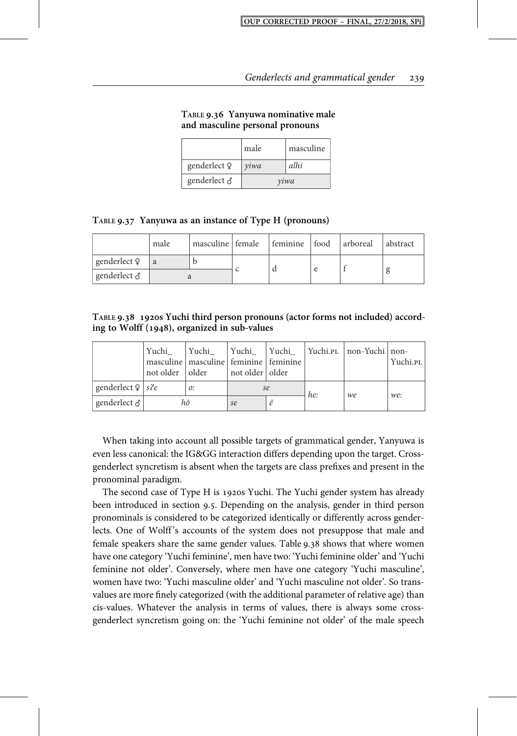|              | male | masculine |  |
|--------------|------|-----------|--|
| genderlect Q | yiwa | alhi      |  |
| genderlect & | yiwa |           |  |

**TABLE . Yanyuwa nominative male and masculine personal pronouns**

|  | TABLE 9.37 Yanyuwa as an instance of Type H (pronouns) |  |  |  |
|--|--------------------------------------------------------|--|--|--|
|--|--------------------------------------------------------|--|--|--|

|                     | male | masculine female feminine food arboreal |  |  | abstract |
|---------------------|------|-----------------------------------------|--|--|----------|
| genderlect ?        | a    |                                         |  |  |          |
| genderlect $\delta$ |      |                                         |  |  |          |

**TABLE . s Yuchi third person pronouns (actor forms not included) according to Wolff (), organized in sub-values**

|                         | Yuchi<br>not older   older | Yuchi<br>masculine   masculine   feminine   feminine | Yuchi Yuchi<br>not older   older |    |     | Yuchi.pl non-Yuchi non- | Yuchi.pl |
|-------------------------|----------------------------|------------------------------------------------------|----------------------------------|----|-----|-------------------------|----------|
| genderlect $9 \mid sPe$ |                            | 0:                                                   |                                  | se | he: | we                      | we:      |
| genderlect ♂            |                            | hõ                                                   | se                               |    |     |                         |          |

When taking into account all possible targets of grammatical gender, Yanyuwa is even less canonical: the IG&GG interaction differs depending upon the target. Crossgenderlect syncretism is absent when the targets are class prefixes and present in the pronominal paradigm.

The second case of Type H is 1920s Yuchi. The Yuchi gender system has already been introduced in section 9.5. Depending on the analysis, gender in third person pronominals is considered to be categorized identically or differently across genderlects. One of Wolff 's accounts of the system does not presuppose that male and female speakers share the same gender values. Table 9.38 shows that where women have one category 'Yuchi feminine', men have two: 'Yuchi feminine older' and 'Yuchi feminine not older'. Conversely, where men have one category 'Yuchi masculine', women have two: 'Yuchi masculine older' and 'Yuchi masculine not older'. So transvalues are more finely categorized (with the additional parameter of relative age) than cis-values. Whatever the analysis in terms of values, there is always some crossgenderlect syncretism going on: the 'Yuchi feminine not older' of the male speech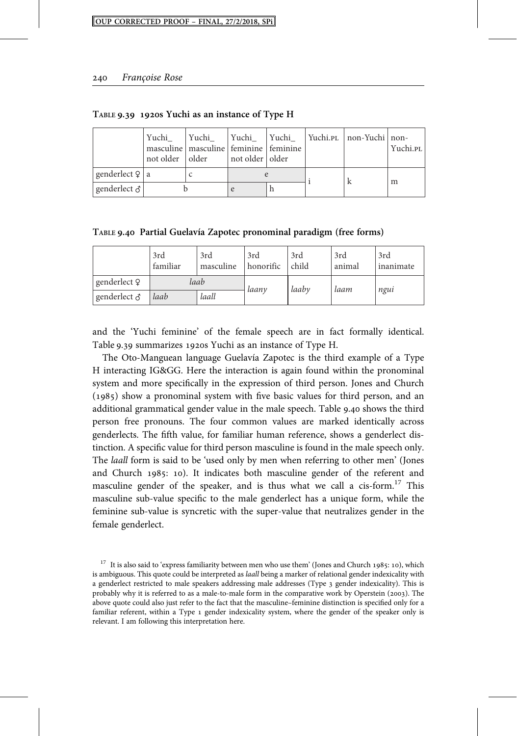|                     | Yuchi<br>not older   older | Yuchi<br>masculine   masculine   feminine   feminine | Yuchi   Yuchi<br>  not older   older |  | Yuchi.pl   non-Yuchi   non- | Yuchi.pl |
|---------------------|----------------------------|------------------------------------------------------|--------------------------------------|--|-----------------------------|----------|
| genderlect $9   a$  |                            |                                                      |                                      |  |                             | m        |
| genderlect $\delta$ |                            |                                                      |                                      |  |                             |          |

TABLE 9.39 1920s Yuchi as an instance of Type H

**TABLE . Partial Guelavía Zapotec pronominal paradigm (free forms)**

|                     | 3rd<br>familiar | 3rd<br>masculine | 3rd<br>honorific | 3rd<br>child | 3rd<br>animal | 3rd<br>inanimate |
|---------------------|-----------------|------------------|------------------|--------------|---------------|------------------|
| genderlect 9        | laab            |                  | laanv            | laaby        | laam          | ngui             |
| genderlect $\delta$ | laall<br>laab   |                  |                  |              |               |                  |

and the 'Yuchi feminine' of the female speech are in fact formally identical. Table 9.39 summarizes 1920s Yuchi as an instance of Type H.

The Oto-Manguean language Guelavía Zapotec is the third example of a Type H interacting IG&GG. Here the interaction is again found within the pronominal system and more specifically in the expression of third person. Jones and Church  $(1985)$  show a pronominal system with five basic values for third person, and an additional grammatical gender value in the male speech. Table 9.40 shows the third person free pronouns. The four common values are marked identically across genderlects. The fifth value, for familiar human reference, shows a genderlect distinction. A specific value for third person masculine is found in the male speech only. The laall form is said to be 'used only by men when referring to other men' (Jones and Church 1985: 10). It indicates both masculine gender of the referent and masculine gender of the speaker, and is thus what we call a cis-form.<sup>17</sup> This masculine sub-value specific to the male genderlect has a unique form, while the feminine sub-value is syncretic with the super-value that neutralizes gender in the female genderlect.

 $17$  It is also said to 'express familiarity between men who use them' (Jones and Church 1985: 10), which is ambiguous. This quote could be interpreted as laall being a marker of relational gender indexicality with a genderlect restricted to male speakers addressing male addresses (Type 3 gender indexicality). This is probably why it is referred to as a male-to-male form in the comparative work by Operstein (2003). The above quote could also just refer to the fact that the masculine–feminine distinction is specified only for a familiar referent, within a Type 1 gender indexicality system, where the gender of the speaker only is relevant. I am following this interpretation here.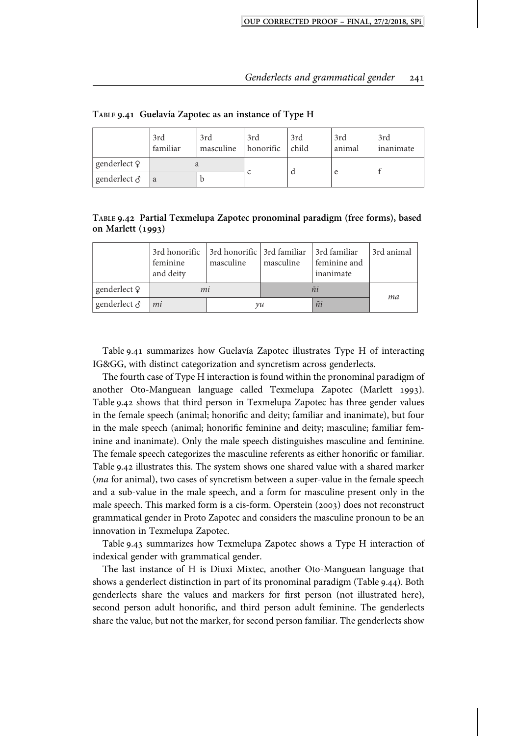|              | 3rd<br>familiar | 3rd<br>masculine | 3rd<br>honorific | 3rd<br>child | 3rd<br>animal | 3rd<br>inanimate |
|--------------|-----------------|------------------|------------------|--------------|---------------|------------------|
| genderlect ? |                 |                  |                  |              |               |                  |
| genderlect ♂ | a               |                  |                  |              |               |                  |

**TABLE . Guelavía Zapotec as an instance of Type H**

**TABLE . Partial Texmelupa Zapotec pronominal paradigm (free forms), based on Marlett ()**

|              | 3rd honorific 3rd honorific 3rd familiar 3rd familiar<br>feminine<br>and deity | masculine | masculine | feminine and<br>inanimate | 3rd animal |
|--------------|--------------------------------------------------------------------------------|-----------|-----------|---------------------------|------------|
| genderlect ? | mi                                                                             |           |           |                           | ma         |
| genderlect ♂ | mi                                                                             | vu        |           | ñi                        |            |

Table 9.41 summarizes how Guelavía Zapotec illustrates Type H of interacting IG&GG, with distinct categorization and syncretism across genderlects.

The fourth case of Type H interaction is found within the pronominal paradigm of another Oto-Manguean language called Texmelupa Zapotec (Marlett 1993). Table 9.42 shows that third person in Texmelupa Zapotec has three gender values in the female speech (animal; honorific and deity; familiar and inanimate), but four in the male speech (animal; honorific feminine and deity; masculine; familiar feminine and inanimate). Only the male speech distinguishes masculine and feminine. The female speech categorizes the masculine referents as either honorific or familiar. Table 9.42 illustrates this. The system shows one shared value with a shared marker (ma for animal), two cases of syncretism between a super-value in the female speech and a sub-value in the male speech, and a form for masculine present only in the male speech. This marked form is a cis-form. Operstein (2003) does not reconstruct grammatical gender in Proto Zapotec and considers the masculine pronoun to be an innovation in Texmelupa Zapotec.

Table 9.43 summarizes how Texmelupa Zapotec shows a Type H interaction of indexical gender with grammatical gender.

The last instance of H is Diuxi Mixtec, another Oto-Manguean language that shows a genderlect distinction in part of its pronominal paradigm (Table 9.44). Both genderlects share the values and markers for first person (not illustrated here), second person adult honorific, and third person adult feminine. The genderlects share the value, but not the marker, for second person familiar. The genderlects show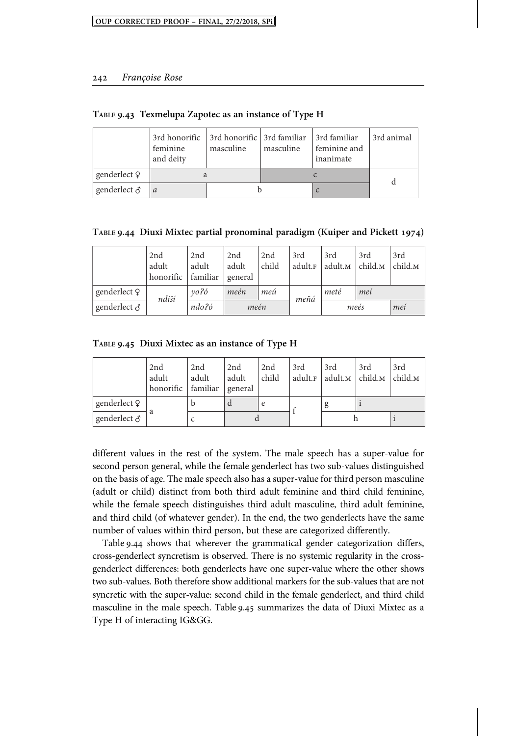|              | 3rd honorific 3rd honorific 3rd familiar 3rd familiar<br>feminine<br>and deity | masculine | masculine | feminine and<br>inanimate | 3rd animal |
|--------------|--------------------------------------------------------------------------------|-----------|-----------|---------------------------|------------|
| genderlect 9 |                                                                                |           |           |                           |            |
| genderlect ∂ | a                                                                              |           |           |                           |            |

**TABLE . Texmelupa Zapotec as an instance of Type H**

**TABLE . Diuxi Mixtec partial pronominal paradigm (Kuiper and Pickett )**

|              | 2nd<br>adult<br>honorific familiar | 2nd<br>adult | 2nd<br>adult<br>general | 2nd<br>child | 3rd<br>adult.F | 3rd<br>adult. <sub>M</sub> | 3rd<br>$ $ child. $M$ | 3rd<br>child. <sub>M</sub> |
|--------------|------------------------------------|--------------|-------------------------|--------------|----------------|----------------------------|-----------------------|----------------------------|
| genderlect ? | ndiší                              | vo?ó         | meén                    | meú          | meñá           | meté                       | meí                   |                            |
| genderlect & |                                    | ndo?ó        | meén                    |              |                |                            | meés                  | mei                        |

**TABLE . Diuxi Mixtec as an instance of Type H**

|                     | 2nd<br>adult<br>honorific familiar general | 2nd<br>adult | 2nd<br>adult | 2nd<br>child | 3rd | 3rd<br>adult. <sub>F</sub> adult. <sub>M</sub> child. <sub>M</sub> | 3rd | 3rd<br>child. <sub>M</sub> |
|---------------------|--------------------------------------------|--------------|--------------|--------------|-----|--------------------------------------------------------------------|-----|----------------------------|
| genderlect ?        |                                            |              |              | e            |     |                                                                    |     |                            |
| genderlect $\delta$ |                                            |              |              |              |     |                                                                    |     |                            |

different values in the rest of the system. The male speech has a super-value for second person general, while the female genderlect has two sub-values distinguished on the basis of age. The male speech also has a super-value for third person masculine (adult or child) distinct from both third adult feminine and third child feminine, while the female speech distinguishes third adult masculine, third adult feminine, and third child (of whatever gender). In the end, the two genderlects have the same number of values within third person, but these are categorized differently.

Table 9.44 shows that wherever the grammatical gender categorization differs, cross-genderlect syncretism is observed. There is no systemic regularity in the crossgenderlect differences: both genderlects have one super-value where the other shows two sub-values. Both therefore show additional markers for the sub-values that are not syncretic with the super-value: second child in the female genderlect, and third child masculine in the male speech. Table 9.45 summarizes the data of Diuxi Mixtec as a Type H of interacting IG&GG.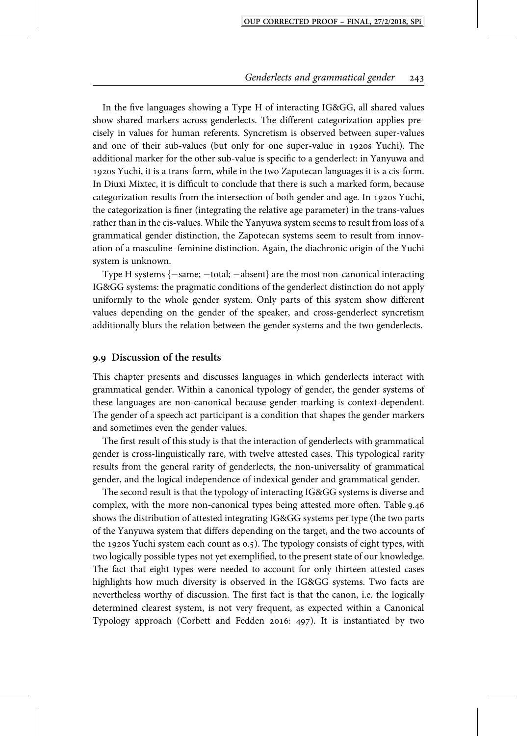In the five languages showing a Type H of interacting IG&GG, all shared values show shared markers across genderlects. The different categorization applies precisely in values for human referents. Syncretism is observed between super-values and one of their sub-values (but only for one super-value in 1920s Yuchi). The additional marker for the other sub-value is specific to a genderlect: in Yanyuwa and s Yuchi, it is a trans-form, while in the two Zapotecan languages it is a cis-form. In Diuxi Mixtec, it is difficult to conclude that there is such a marked form, because categorization results from the intersection of both gender and age. In 1920s Yuchi, the categorization is finer (integrating the relative age parameter) in the trans-values rather than in the cis-values. While the Yanyuwa system seems to result from loss of a grammatical gender distinction, the Zapotecan systems seem to result from innovation of a masculine–feminine distinction. Again, the diachronic origin of the Yuchi system is unknown.

Type H systems  $\{-\text{same}; -\text{total}; -\text{absent}\}$  are the most non-canonical interacting IG&GG systems: the pragmatic conditions of the genderlect distinction do not apply uniformly to the whole gender system. Only parts of this system show different values depending on the gender of the speaker, and cross-genderlect syncretism additionally blurs the relation between the gender systems and the two genderlects.

#### **. Discussion of the results**

This chapter presents and discusses languages in which genderlects interact with grammatical gender. Within a canonical typology of gender, the gender systems of these languages are non-canonical because gender marking is context-dependent. The gender of a speech act participant is a condition that shapes the gender markers and sometimes even the gender values.

The first result of this study is that the interaction of genderlects with grammatical gender is cross-linguistically rare, with twelve attested cases. This typological rarity results from the general rarity of genderlects, the non-universality of grammatical gender, and the logical independence of indexical gender and grammatical gender.

The second result is that the typology of interacting IG&GG systems is diverse and complex, with the more non-canonical types being attested more often. Table 9.46 shows the distribution of attested integrating IG&GG systems per type (the two parts of the Yanyuwa system that differs depending on the target, and the two accounts of the 1920s Yuchi system each count as  $0.5$ ). The typology consists of eight types, with two logically possible types not yet exemplified, to the present state of our knowledge. The fact that eight types were needed to account for only thirteen attested cases highlights how much diversity is observed in the IG&GG systems. Two facts are nevertheless worthy of discussion. The first fact is that the canon, i.e. the logically determined clearest system, is not very frequent, as expected within a Canonical Typology approach (Corbett and Fedden 2016: 497). It is instantiated by two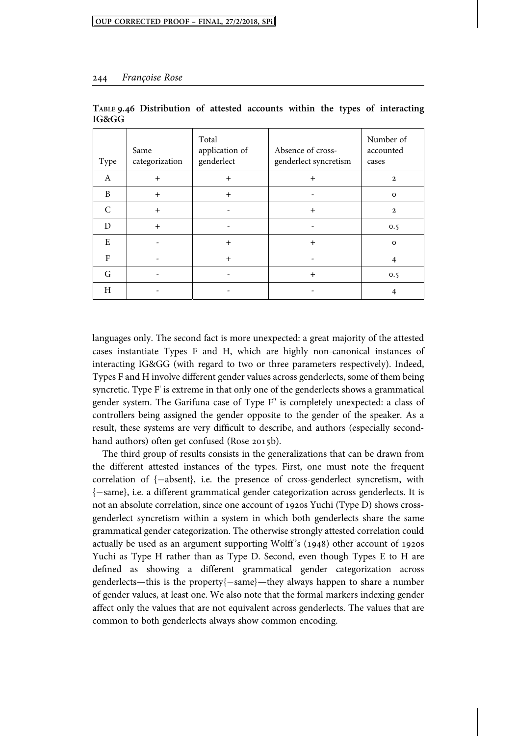| Type      | Same<br>categorization | Total<br>application of<br>genderlect | Absence of cross-<br>genderlect syncretism | Number of<br>accounted<br>cases |
|-----------|------------------------|---------------------------------------|--------------------------------------------|---------------------------------|
| A         | $+$                    | $+$                                   | $+$                                        | $\overline{2}$                  |
| B         | $+$                    | $^{+}$                                |                                            | $\Omega$                        |
| $\subset$ | $^{+}$                 |                                       | $^{+}$                                     | $\overline{2}$                  |
| D         | $+$                    |                                       |                                            | 0.5                             |
| E         |                        | $^{+}$                                | $+$                                        | $\Omega$                        |
| F         |                        | $+$                                   |                                            | 4                               |
| G         |                        |                                       | $^{+}$                                     | 0.5                             |
| H         |                        |                                       |                                            |                                 |

**TABLE . Distribution of attested accounts within the types of interacting IG&GG**

languages only. The second fact is more unexpected: a great majority of the attested cases instantiate Types F and H, which are highly non-canonical instances of interacting IG&GG (with regard to two or three parameters respectively). Indeed, Types F and H involve different gender values across genderlects, some of them being syncretic. Type F' is extreme in that only one of the genderlects shows a grammatical gender system. The Garifuna case of Type F" is completely unexpected: a class of controllers being assigned the gender opposite to the gender of the speaker. As a result, these systems are very difficult to describe, and authors (especially secondhand authors) often get confused (Rose 2015b).

The third group of results consists in the generalizations that can be drawn from the different attested instances of the types. First, one must note the frequent correlation of  $\{-\text{absent}\}$ , i.e. the presence of cross-genderlect syncretism, with  $\{-\text{same}\},$  i.e. a different grammatical gender categorization across genderlects. It is not an absolute correlation, since one account of 1920s Yuchi (Type D) shows crossgenderlect syncretism within a system in which both genderlects share the same grammatical gender categorization. The otherwise strongly attested correlation could actually be used as an argument supporting Wolff's  $(1948)$  other account of 1920s Yuchi as Type H rather than as Type D. Second, even though Types E to H are defined as showing a different grammatical gender categorization across genderlects—this is the property $\{-\text{same}\}$ —they always happen to share a number of gender values, at least one. We also note that the formal markers indexing gender affect only the values that are not equivalent across genderlects. The values that are common to both genderlects always show common encoding.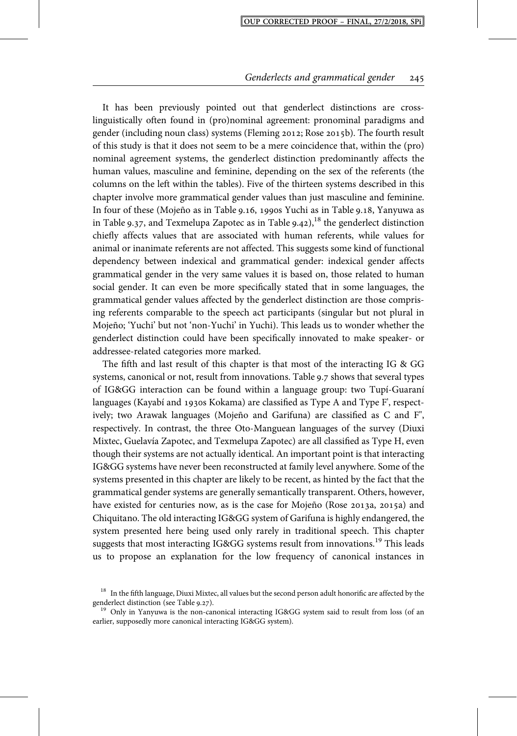It has been previously pointed out that genderlect distinctions are crosslinguistically often found in (pro)nominal agreement: pronominal paradigms and gender (including noun class) systems (Fleming 2012; Rose 2015b). The fourth result of this study is that it does not seem to be a mere coincidence that, within the (pro) nominal agreement systems, the genderlect distinction predominantly affects the human values, masculine and feminine, depending on the sex of the referents (the columns on the left within the tables). Five of the thirteen systems described in this chapter involve more grammatical gender values than just masculine and feminine. In four of these (Mojeño as in Table 9.16, 1990s Yuchi as in Table 9.18, Yanyuwa as in Table 9.37, and Texmelupa Zapotec as in Table  $9.42$ ),<sup>18</sup> the genderlect distinction chiefly affects values that are associated with human referents, while values for animal or inanimate referents are not affected. This suggests some kind of functional dependency between indexical and grammatical gender: indexical gender affects grammatical gender in the very same values it is based on, those related to human social gender. It can even be more specifically stated that in some languages, the grammatical gender values affected by the genderlect distinction are those comprising referents comparable to the speech act participants (singular but not plural in Mojeño; 'Yuchi' but not 'non-Yuchi' in Yuchi). This leads us to wonder whether the genderlect distinction could have been specifically innovated to make speaker- or addressee-related categories more marked.

The fifth and last result of this chapter is that most of the interacting IG & GG systems, canonical or not, result from innovations. Table 9.7 shows that several types of IG&GG interaction can be found within a language group: two Tupí-Guaraní languages (Kayabí and 1930s Kokama) are classified as Type A and Type F', respectively; two Arawak languages (Mojeño and Garifuna) are classified as C and F", respectively. In contrast, the three Oto-Manguean languages of the survey (Diuxi Mixtec, Guelavía Zapotec, and Texmelupa Zapotec) are all classified as Type H, even though their systems are not actually identical. An important point is that interacting IG&GG systems have never been reconstructed at family level anywhere. Some of the systems presented in this chapter are likely to be recent, as hinted by the fact that the grammatical gender systems are generally semantically transparent. Others, however, have existed for centuries now, as is the case for Mojeño (Rose 2013a, 2015a) and Chiquitano. The old interacting IG&GG system of Garifuna is highly endangered, the system presented here being used only rarely in traditional speech. This chapter suggests that most interacting IG&GG systems result from innovations.<sup>19</sup> This leads us to propose an explanation for the low frequency of canonical instances in

<sup>&</sup>lt;sup>18</sup> In the fifth language, Diuxi Mixtec, all values but the second person adult honorific are affected by the genderlect distinction (see Table 9.27).

 $19$  Only in Yanyuwa is the non-canonical interacting IG&GG system said to result from loss (of an earlier, supposedly more canonical interacting IG&GG system).